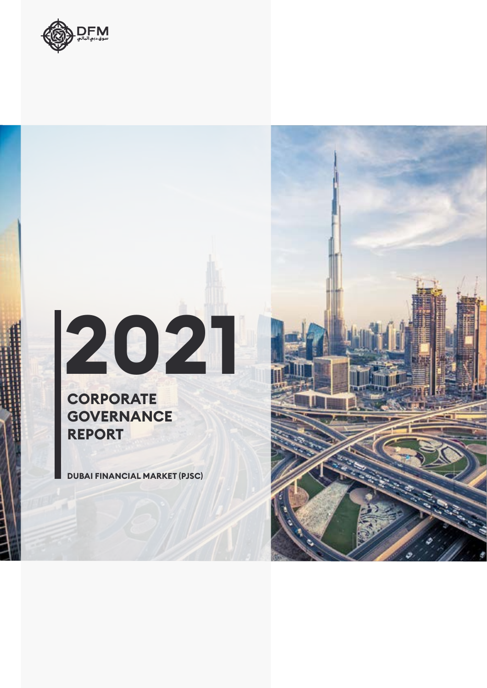

# **2021**

#### **CORPORATE GOVERNANCE REPORT**

**DUBAI FINANCIAL MARKET (PJSC)**

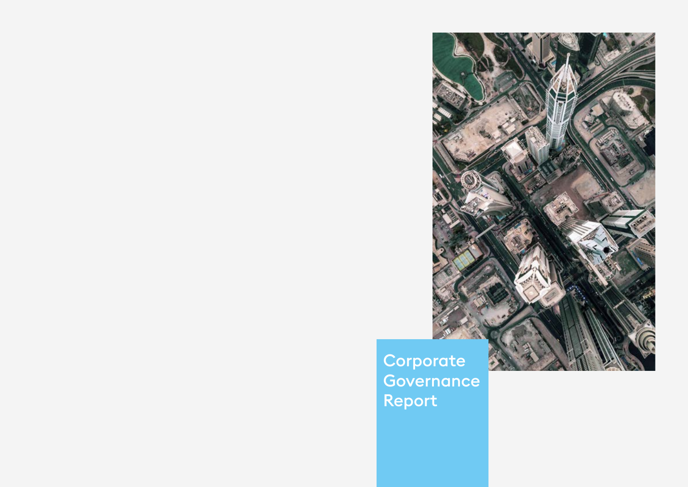

Corporate Governance Report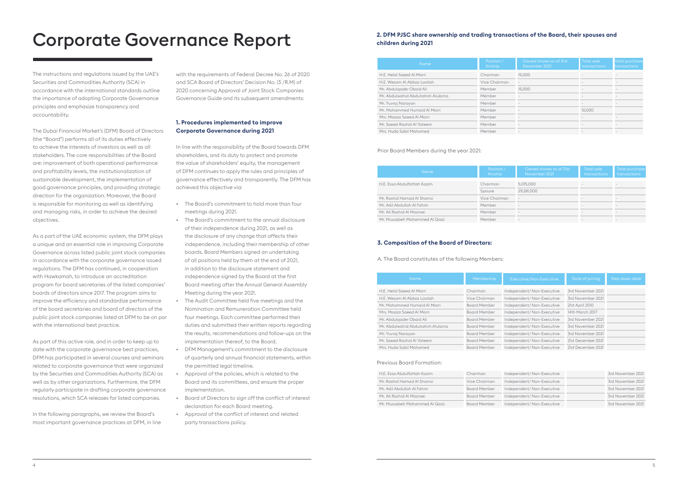| <b>Name</b>                       | Position /<br><b>Kinship</b> | Owned shares as of 31st<br>December 2021 | <b>Total sale</b><br><b>transactions</b> | <b>Total purchase</b><br><b>transactions</b> |
|-----------------------------------|------------------------------|------------------------------------------|------------------------------------------|----------------------------------------------|
| H.E. Helal Saeed Al Marri         | Chairman                     | 15,000                                   |                                          |                                              |
| H.E. Wesam Al Abbas Lootah        | Vice Chairman                | $\sim$                                   |                                          |                                              |
| Mr. Abdulgader Obaid Ali          | Member                       | 15,000                                   |                                          |                                              |
| Mr. Abdulwahid Abdulrahim Alulama | Member                       |                                          |                                          |                                              |
| Mr. Yuvraj Narayan                | Member                       |                                          | $\overline{\phantom{a}}$                 |                                              |
| Mr. Mohammed Humaid Al Marri      | Member                       |                                          | 10,000                                   |                                              |
| Mrs. Moaza Saeed Al Marri         | Member                       |                                          |                                          |                                              |
| Mr. Saeed Rashid Al Yateem        | Member                       |                                          |                                          |                                              |
| Mrs. Huda Sabil Mohamed           | Member                       | $\overline{\phantom{a}}$                 |                                          | -                                            |

| <b>Name</b>                    | Position /<br><b>Kinship</b> | Owned shares as of 31st<br>November 2021 | Total sale<br><b>transactions</b> | <b>Total purchase</b><br>transactions |
|--------------------------------|------------------------------|------------------------------------------|-----------------------------------|---------------------------------------|
| H.E. Essa Abdulfattah Kazim    | Chairman                     | 5,015,000                                |                                   |                                       |
|                                | Spouse                       | 29,281,000                               |                                   |                                       |
| Mr. Rashid Hamad Al Shamsi     | Vice Chairman                | $\overline{\phantom{a}}$                 | $\sim$                            | $\overline{\phantom{a}}$              |
| Mr. Adil Abdullah Al Fahim     | Member                       | $\overline{\phantom{a}}$                 | $\overline{\phantom{a}}$          | $\sim$                                |
| Mr. Ali Rashid Al Mazroei      | Member                       | $\overline{\phantom{a}}$                 | $\overline{\phantom{a}}$          | $\overline{\phantom{a}}$              |
| Mr. Mussabeh Mohammed Al Qaizi | Member                       | $\sim$                                   | $\sim$                            |                                       |
|                                |                              |                                          |                                   |                                       |

| <b>Name</b>                       | Membership          | Executive/Non-Executive   | Date of joining    | Step down date |
|-----------------------------------|---------------------|---------------------------|--------------------|----------------|
|                                   |                     |                           |                    |                |
| H.E. Helal Saeed Al Marri         | Chairman            | Independent/Non-Executive | 3rd November 2021  |                |
| H.E. Wesam Al Abbas Lootah        | Vice Chairman       | Independent/Non-Executive | 3rd November 2021  |                |
| Mr. Mohammed Humaid Al Marri      | <b>Board Member</b> | Independent/Non-Executive | 21st April 2010    |                |
| Mrs. Moaza Saeed Al Marri         | <b>Board Member</b> | Independent/Non-Executive | 14th March 2017    |                |
| Mr. Abdulgader Obaid Ali          | <b>Board Member</b> | Independent/Non-Executive | 3rd November 2021  |                |
| Mr. Abdulwahid Abdulrahim Alulama | <b>Board Member</b> | Independent/Non-Executive | 3rd November 2021  |                |
| Mr. Yuvraj Narayan                | <b>Board Member</b> | Independent/Non-Executive | 3rd November 2021  |                |
| Mr. Saeed Rashid Al Yateem        | <b>Board Member</b> | Independent/Non-Executive | 21st December 2021 |                |
| Mrs. Huda Sabil Mohamed           | <b>Board Member</b> | Independent/Non-Executive | 21st December 2021 |                |
|                                   |                     |                           |                    |                |

| H.E. Essa Abdulfattah Kazim    | Chairman            | Independent/Non-Executive | 3rd November 2021 |
|--------------------------------|---------------------|---------------------------|-------------------|
| Mr. Rashid Hamad Al Shamsi     | Vice Chairman       | Independent/Non-Executive | 3rd November 2021 |
| Mr. Adil Abdullah Al Fahim     | <b>Board Member</b> | Independent/Non-Executive | 3rd November 2021 |
| Mr. Ali Rashid Al Mazroei      | <b>Board Member</b> | Independent/Non-Executive | 3rd November 2021 |
| Mr. Mussabeh Mohammed Al Qaizi | <b>Board Member</b> | Independent/Non-Executive | 3rd November 2021 |

#### **2. DFM PJSC share ownership and trading transactions of the Board, their spouses and children during 2021**

#### Prior Board Members during the year 2021:

#### **3. Composition of the Board of Directors:**

A. The Board constitutes of the following Members:

#### Previous Board Formation:

## Corporate Governance Report

The instructions and regulations issued by the UAE's Securities and Commodities Authority (SCA) in accordance with the international standards outline the importance of adopting Corporate Governance principles and emphasize transparency and accountability.

The Dubai Financial Market's (DFM) Board of Directors (the "Board") performs all of its duties effectively to achieve the interests of investors as well as all stakeholders. The core responsibilities of the Board are: improvement of both operational performance and profitability levels, the institutionalization of sustainable development, the implementation of good governance principles, and providing strategic direction for the organization. Moreover, the Board is responsible for monitoring as well as identifying and managing risks, in order to achieve the desired objectives.

As a part of the UAE economic system, the DFM plays a unique and an essential role in improving Corporate Governance across listed public joint stock companies in accordance with the corporate governance issued regulations. The DFM has continued, in cooperation with Hawkamah, to introduce an accreditation program for board secretaries of the listed companies' boards of directors since 2017. The program aims to improve the efficiency and standardize performance of the board secretaries and board of directors of the public joint stock companies listed at DFM to be on par with the international best practice.

As part of this active role, and in order to keep up to date with the corporate governance best practices, DFM has participated in several courses and seminars related to corporate governance that were organized by the Securities and Commodities Authority (SCA) as well as by other organizations. Furthermore, the DFM regularly participate in drafting corporate governance resolutions, which SCA releases for listed companies.

In the following paragraphs, we review the Board's most important governance practices at DFM, in line

with the requirements of Federal Decree No. 26 of 2020 and SCA Board of Directors' Decision No. (3 /R.M) of 2020 concerning Approval of Joint Stock Companies Governance Guide and its subsequent amendments:

#### **1. Procedures implemented to improve Corporate Governance during 2021**

In line with the responsibility of the Board towards DFM shareholders, and its duty to protect and promote the value of shareholders' equity, the management of DFM continues to apply the rules and principles of governance effectively and transparently. The DFM has achieved this objective via:

- The Board's commitment to hold more than four meetings during 2021.
- The Board's commitment to the annual disclosure of their independence during 2021, as well as the disclosure of any change that affects their independence, including their membership of other boards. Board Members signed an undertaking of all positions held by them at the end of 2021, in addition to the disclosure statement and independence signed by the Board at the first Board meeting after the Annual General Assembly Meeting during the year 2021.
- The Audit Committee held five meetings and the Nomination and Remuneration Committee held four meetings. Each committee performed their duties and submitted their written reports regarding the results, recommendations and follow-ups on the implementation thereof, to the Board.
- DFM Management's commitment to the disclosure of quarterly and annual financial statements, within the permitted legal timeline.
- Approval of the policies, which is related to the Board and its committees, and ensure the proper implementation.
- Board of Directors to sign off the conflict of interest declaration for each Board meeting.
- Approval of the conflict of interest and related party transactions policy.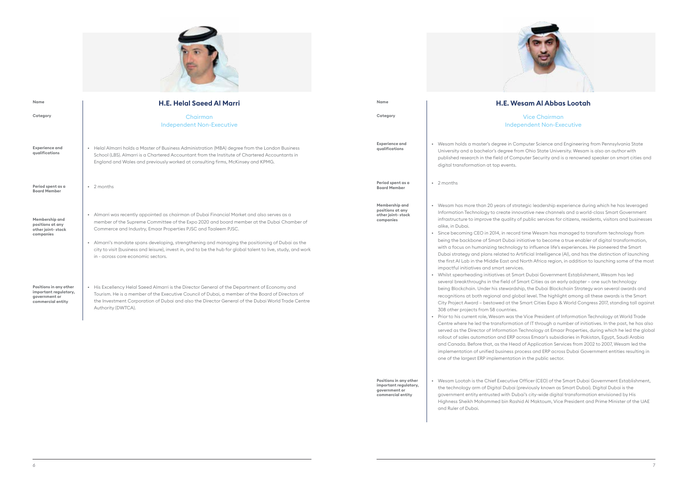**Positions in any other important regulatory, government or commercial entity** 

#### **H.E. Wesam Al Abbas Lootah**

Vice Chairman Independent Non-Executive

aster's degree in Computer Science and Engineering from Pennsylvania State diversity and a bachelory and a bacheloristy and a bachelor's degree from Ohio State University. Wesam and the h in the field of Computer Security and is a renowned speaker on smart cities and

than 20 years of strategic leadership experience during which he has leveraged iology to create innovative new channels and a world-class Smart Government mprove the quality of public services for citizens, residents, visitors and businesses

• Since becoming CEO in 2014, in record time Wesam has managed to transform technology from ne of Smart Dubai initiative to become a true enabler of digital transformation, umanizing technology to influence life's experiences. He pioneered the Smart d plans related to Artificial Intelligence (AI), and has the distinction of launching the Middle East and North Africa region, in addition to launching some of the most

ing initiatives at Smart Dubai Government Establishment, Wesam has led ughs in the field of Smart Cities as an early adopter – one such technology Under his stewardship, the Dubai Blockchain Strategy won several awards and oth regional and global level. The highlight among all these awards is the Smart d – bestowed at the Smart Cities Expo & World Congress 2017, standing tall against

t role, Wesam was the Vice President of Information Technology at World Trade ed the transformation of IT through a number of initiatives. In the past, he has also ector of Information Technology at Emaar Properties, during which he led the global rollout of sales automation and ERP across Emaar's subsidiaries in Pakistan, Egypt, Saudi Arabia and Canada. Before that, as the Head of Application Services from 2002 to 2007, Wesam led the implementation of unified business process and ERP across Dubai Government entities resulting in

- ition at top events.
- 
- es and smart services.
- s from 58 countries.
- one of the largest ERP implementation in the public sector.
- and Ruler of Dubai.





| Name                                                                                  | <b>H.E. Helal Saeed Al Marri</b>                                                                                                                                                                                                                                                                                                                                                                                                                                                                                      | Name                                                                 |                                                                                                                                                                                                                                                                                  |
|---------------------------------------------------------------------------------------|-----------------------------------------------------------------------------------------------------------------------------------------------------------------------------------------------------------------------------------------------------------------------------------------------------------------------------------------------------------------------------------------------------------------------------------------------------------------------------------------------------------------------|----------------------------------------------------------------------|----------------------------------------------------------------------------------------------------------------------------------------------------------------------------------------------------------------------------------------------------------------------------------|
| Category                                                                              | Chairman<br><b>Independent Non-Executive</b>                                                                                                                                                                                                                                                                                                                                                                                                                                                                          | Category                                                             |                                                                                                                                                                                                                                                                                  |
| <b>Experience and</b><br>qualifications                                               | • Helal Almarri holds a Master of Business Administration (MBA) degree from the London Business<br>School (LBS). Almarri is a Chartered Accountant from the Institute of Chartered Accountants in<br>England and Wales and previously worked at consulting firms, McKinsey and KPMG.                                                                                                                                                                                                                                  | <b>Experience and</b><br>qualifications                              | • Wesam holds a me<br>University and a b<br>published researcl<br>digital transforma                                                                                                                                                                                             |
| Period spent as a<br><b>Board Member</b>                                              | • 2 months                                                                                                                                                                                                                                                                                                                                                                                                                                                                                                            | Period spent as a<br><b>Board Member</b>                             | • 2 months                                                                                                                                                                                                                                                                       |
| Membership and<br>positions at any<br>other joint-stock<br>companies                  | • Almarri was recently appointed as chairman of Dubai Financial Market and also serves as a<br>member of the Supreme Committee of the Expo 2020 and board member at the Dubai Chamber of<br>Commerce and Industry, Emaar Properties PJSC and Taaleem PJSC.<br>• Almarri's mandate spans developing, strengthening and managing the positioning of Dubai as the<br>city to visit (business and leisure), invest in, and to be the hub for global talent to live, study, and work<br>in - across core economic sectors. | Membership and<br>positions at any<br>other joint-stock<br>companies | • Wesam has more<br><b>Information Techn</b><br>infrastructure to in<br>alike, in Dubai.<br>• Since becoming C<br>being the backbor<br>with a focus on hu<br>Dubai strategy an<br>the first AI Lab in t<br>impactful initiativ                                                   |
| Positions in any other<br>important regulatory,<br>government or<br>commercial entity | • His Excellency Helal Saeed Almarri is the Director General of the Department of Economy and<br>Tourism. He is a member of the Executive Council of Dubai, a member of the Board of Directors of<br>the Investment Corporation of Dubai and also the Director General of the Dubai World Trade Centre<br>Authority (DWTCA).                                                                                                                                                                                          |                                                                      | • Whilst spearheadi<br>several breakthrou<br>being Blockchain.<br>recognitions at bo<br><b>City Project Award</b><br>308 other projects<br>• Prior to his current<br>Centre where he k<br>served as the Dire<br>$\mathbf{u}$ $\mathbf{v}$ $\mathbf{v}$ $\mathbf{v}$ $\mathbf{v}$ |

• Wesam Lootah is the Chief Executive Officer (CEO) of the Smart Dubai Government Establishment, the technology arm of Digital Dubai (previously known as Smart Dubai). Digital Dubai is the government entity entrusted with Dubai's city-wide digital transformation envisioned by His Highness Sheikh Mohammed bin Rashid Al Maktoum, Vice President and Prime Minister of the UAE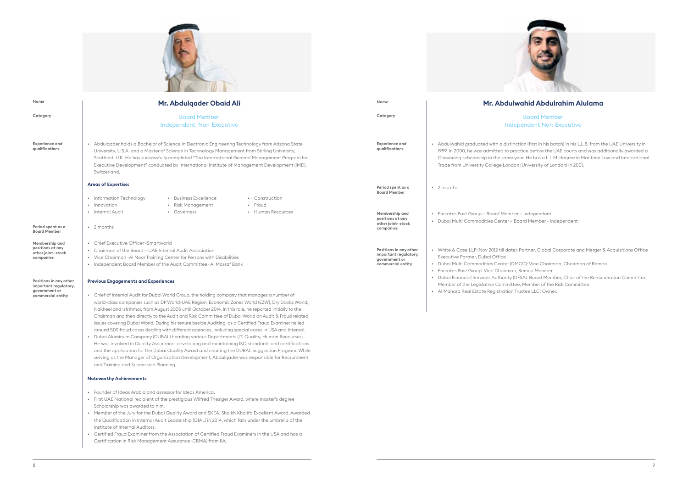• Abdulwahid graduated with a distinction (first in his batch) in his L.L.B. from the UAE University in 19. In 2000, he was admitted to practice before the UAE courts and was additionally awarded a evening scholarship in the same year. He has a L.L.M. degree in Maritime Law and International rde from University College London (University of London) in 2001.

irates Post Group - Board Member - Independent bai Multi Commodities Center - Board Member - Independent

#### **Mr. Abdulwahid Abdulrahim Alulama**

Board Member Independent Non-Executive

- bai Multi Commodities Center (DMCC): Vice Chairman, Chairman of Remco
- Emirates Post Group: Vice Chairman, Remco Member
- bai Financial Services Authority (DFSA): Board Member, Chair of the Remuneration Committee,
- ember of the Legislative Committee, Member of the Risk Committee
- Al Manara Real Estate Registration Trustee LLC: Owner.

• White & Case LLP (Nov 2012 till date): Partner, Global Corporate and Merger & Acquisitions Office

**Category**

**Period spent as a Board Member Membership and positions at any other joint- stock companies** 

**Positions in any other important regulatory, government or commercial entity** 



**Experience and qualifications**



| Mr. Abdulgader Obaid Ali                                                                                                                                                                                                                                                                                                                                                                                                                                                                                                                                                                                                                                                                                                                                                                                                                                                                                                                                                                                                                                                           | Name                                                                                  | Mr. Abc                                                                                                                                                                                |
|------------------------------------------------------------------------------------------------------------------------------------------------------------------------------------------------------------------------------------------------------------------------------------------------------------------------------------------------------------------------------------------------------------------------------------------------------------------------------------------------------------------------------------------------------------------------------------------------------------------------------------------------------------------------------------------------------------------------------------------------------------------------------------------------------------------------------------------------------------------------------------------------------------------------------------------------------------------------------------------------------------------------------------------------------------------------------------|---------------------------------------------------------------------------------------|----------------------------------------------------------------------------------------------------------------------------------------------------------------------------------------|
| <b>Board Member</b>                                                                                                                                                                                                                                                                                                                                                                                                                                                                                                                                                                                                                                                                                                                                                                                                                                                                                                                                                                                                                                                                | Category                                                                              |                                                                                                                                                                                        |
| <b>Independent Non-Executive</b>                                                                                                                                                                                                                                                                                                                                                                                                                                                                                                                                                                                                                                                                                                                                                                                                                                                                                                                                                                                                                                                   |                                                                                       |                                                                                                                                                                                        |
| • Abdulqader holds a Bachelor of Science in Electronic Engineering Technology from Arizona State<br>University, U.S.A. and a Master of Science in Technology Management from Stirling University,<br>Scotland, U.K. He has successfully completed "The International General Management Program for<br>Executive Development" conducted by International Institute of Management Development (IMD),<br>Switzerland.                                                                                                                                                                                                                                                                                                                                                                                                                                                                                                                                                                                                                                                                | <b>Experience and</b><br>qualifications                                               | • Abdulwahid graduated with a di<br>1999. In 2000, he was admitted to<br>Chevening scholarship in the sa<br>Trade from University College Lo                                           |
| <b>Areas of Expertise:</b>                                                                                                                                                                                                                                                                                                                                                                                                                                                                                                                                                                                                                                                                                                                                                                                                                                                                                                                                                                                                                                                         | Period spent as a<br><b>Board Member</b>                                              | • 2 months                                                                                                                                                                             |
| • Business Excellence<br>• Information Technology<br>• Construction<br>• Innovation<br>• Risk Management<br>• Fraud<br>• Internal Audit<br>• Human Resources<br>• Governess<br>• 2 months                                                                                                                                                                                                                                                                                                                                                                                                                                                                                                                                                                                                                                                                                                                                                                                                                                                                                          | Membership and<br>positions at any<br>other joint-stock<br>companies                  | Emirates Post Group - Board Me<br>$\bullet$<br>Dubai Multi Commodities Cente                                                                                                           |
| • Chief Executive Officer - Smartworld<br>• Chairman of the Board - UAE Internal Audit Association<br>• Vice Chairman - Al Noor Training Center for Persons with Disabilities<br>• Independent Board Member of the Audit Committee- Al Masraf Bank<br><b>Previous Engagements and Experiences</b>                                                                                                                                                                                                                                                                                                                                                                                                                                                                                                                                                                                                                                                                                                                                                                                  | Positions in any other<br>important regulatory,<br>government or<br>commercial entity | • White & Case LLP (Nov 2012 till of<br>Executive Partner, Dubai Office<br>Dubai Multi Commodities Cente<br>Emirates Post Group: Vice Chair<br><b>Dubai Financial Services Authori</b> |
| • Chief of Internal Audit for Dubai World Group, the holding company that manages a number of<br>world-class companies such as DP World-UAE Region, Economic Zones World (EZW), Dry Docks World,<br>Nakheel and Istithmar, from August 2005 until October 2014. In this role, he reported initially to the<br>Chairman and then directly to the Audit and Risk Committee of Dubai World on Audit & Fraud related<br>issues covering Dubai World. During his tenure beside Auditing, as a Certified Fraud Examiner he led<br>around 500 fraud cases dealing with different agencies, including special cases in USA and Interpol.<br>Dubai Aluminum Company (DUBAL) heading various Departments (IT, Quality, Human Recourses).<br>He was involved in Quality Assurance, developing and maintaining ISO standards and certifications<br>and the application for the Dubai Quality Award and chairing the DUBAL Suggestion Program. While<br>serving as the Manager of Organization Development, Abdulqader was responsible for Recruitment<br>and Training and Succession Planning. |                                                                                       | Member of the Legislative Comr<br>• Al Manara Real Estate Registrat                                                                                                                    |

#### **Noteworthy Achievements**

- Founder of Ideas Arabia and assessor for Ideas America.
- First UAE National recipient of the prestigious Wilfred Thesiger Award, where master's degree Scholarship was awarded to him.
- Member of the Jury for the Dubai Quality Award and SKEA, Shaikh Khalifa Excellent Award. Awarded the Qualification in Internal Audit Leadership (QIAL) in 2014, which falls under the umbrella of the Institute of Internal Auditors.
- Certified Fraud Examiner from the Association of Certified Fraud Examiners in the USA and has a Certification in Risk Management Assurance (CRMA) from IIA.

**Name**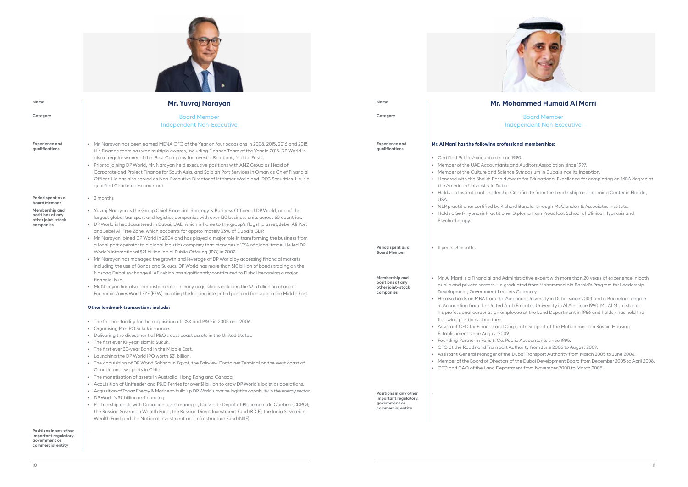

Board Member endent Non-Executive

#### **M** memberships:

- uditors Association since 1997.
- mposium in Dubai since its inception.
- for Educational Excellence for completing an MBA degree at

ficate from the Leadership and Learning Center in Florida,

endler through McClendon & Associates Institute.  $\epsilon$  and from Proudfoot School of Clinical Hypnosis and

- rative expert with more than 20 years of experience in both ed from Mohammed bin Rashid's Program for Leadership tegory.
- an University in Dubai since 2004 and a Bachelor's degree irates University in Al Ain since 1990. Mr. Al Marri started at the Land Department in 1986 and holds / has held the
- rte Support at the Mohammed bin Rashid Housing
- ecountants since 1995.
- rity from June 2006 to August 2009.
- ai Transport Authority from March 2005 to June 2006.
- · Dubai Development Board from December 2005 to April 2008. t from November 2000 to March 2005.

#### **Mr. Mohammed Humaid Al Marri**

**Positions in any other important regulatory, government or commercial entity** 



| Name                                                                                        | Mr. Yuvraj Narayan                                                                                                                                                                                                                                                                                                                                                                                                                                                                                                                                                                                                                                                                                                                                                                                                                                                                                 | Name                                                                                  | Mr. Mohar                                                                                                                                                                                                                                                                                                                                   |
|---------------------------------------------------------------------------------------------|----------------------------------------------------------------------------------------------------------------------------------------------------------------------------------------------------------------------------------------------------------------------------------------------------------------------------------------------------------------------------------------------------------------------------------------------------------------------------------------------------------------------------------------------------------------------------------------------------------------------------------------------------------------------------------------------------------------------------------------------------------------------------------------------------------------------------------------------------------------------------------------------------|---------------------------------------------------------------------------------------|---------------------------------------------------------------------------------------------------------------------------------------------------------------------------------------------------------------------------------------------------------------------------------------------------------------------------------------------|
| Category                                                                                    | <b>Board Member</b><br><b>Independent Non-Executive</b>                                                                                                                                                                                                                                                                                                                                                                                                                                                                                                                                                                                                                                                                                                                                                                                                                                            | Category                                                                              | Indepe                                                                                                                                                                                                                                                                                                                                      |
| <b>Experience and</b><br>qualifications<br>Period spent as a                                | • Mr. Narayan has been named MENA CFO of the Year on four occasions in 2008, 2015, 2016 and 2018.<br>His Finance team has won multiple awards, including Finance Team of the Year in 2015. DP World is<br>also a regular winner of the 'Best Company for Investor Relations, Middle East'.<br>• Prior to joining DP World, Mr. Narayan held executive positions with ANZ Group as Head of<br>Corporate and Project Finance for South Asia, and Salalah Port Services in Oman as Chief Financial<br>Officer. He has also served as Non-Executive Director of Istithmar World and IDFC Securities. He is a<br>qualified Chartered Accountant.<br>• 2 months                                                                                                                                                                                                                                          | <b>Experience and</b><br>qualifications                                               | Mr. Al Marri has the following professional<br>• Certified Public Accountant since 1990.<br>• Member of the UAE Accountants and A<br>• Member of the Culture and Science Syn<br>• Honored with the Sheikh Rashid Award t<br>the American University in Dubai.<br>• Holds an Institutional Leadership Certif<br>USA.                         |
| <b>Board Member</b><br>Membership and<br>positions at any<br>other joint-stock<br>companies | • Yuvraj Narayan is the Group Chief Financial, Strategy & Business Officer of DP World, one of the<br>largest global transport and logistics companies with over 120 business units across 60 countries.<br>• DP World is headquartered in Dubai, UAE, which is home to the group's flagship asset, Jebel Ali Port<br>and Jebel Ali Free Zone, which accounts for approximately 33% of Dubai's GDP.<br>• Mr. Narayan joined DP World in 2004 and has played a major role in transforming the business from<br>a local port operator to a global logistics company that manages c.10% of global trade. He led DP<br>World's international \$21 billion Initial Public Offering (IPO) in 2007.<br>• Mr. Narayan has managed the growth and leverage of DP World by accessing financial markets<br>including the use of Bonds and Sukuks. DP World has more than \$10 billion of bonds trading on the | Period spent as a<br><b>Board Member</b>                                              | • NLP practitioner certified by Richard Bo<br>• Holds a Self-Hypnosis Practitioner Diplo<br>Psychotherapy.<br>• Il years, 8 months                                                                                                                                                                                                          |
|                                                                                             | Nasdaq Dubai exchange (UAE) which has significantly contributed to Dubai becoming a major<br>financial hub.<br>• Mr. Narayan has also been instrumental in many acquisitions including the \$3.5 billion purchase of<br>Economic Zones World FZE (EZW), creating the leading integrated port and free zone in the Middle East.<br><b>Other landmark transactions include:</b>                                                                                                                                                                                                                                                                                                                                                                                                                                                                                                                      | Membership and<br>positions at any<br>other joint-stock<br>companies                  | • Mr. Al Marri is a Financial and Administre<br>public and private sectors. He graduate<br>Development, Government Leaders Cat<br>• He also holds an MBA from the America<br>in Accounting from the United Arab Emi<br>his professional career as an employee                                                                               |
|                                                                                             | • The finance facility for the acquisition of CSX and P&O in 2005 and 2006.<br>• Organising Pre-IPO Sukuk issuance.<br>• Delivering the divestment of P&O's east coast assets in the United States.<br>• The first ever 10-year Islamic Sukuk.<br>• The first ever 30-year Bond in the Middle East.<br>• Launching the DP World IPO worth \$21 billion.<br>• The acquisition of DP World Sokhna in Egypt, the Fairview Container Terminal on the west coast of<br>Canada and two ports in Chile.<br>• The monetisation of assets in Australia, Hong Kong and Canada.<br>• Acquisition of Unifeeder and P&O Ferries for over \$1 billion to grow DP World's logistics operations.                                                                                                                                                                                                                   |                                                                                       | following positions since then.<br>• Assistant CEO for Finance and Corporation<br>Establishment since August 2009.<br>• Founding Partner in Faris & Co. Public A<br>• CFO at the Roads and Transport Author<br>• Assistant General Manager of the Duba<br>• Member of the Board of Directors of the<br>• CFO and CAO of the Land Department |
| Positions in any other                                                                      | Acquisition of Topaz Energy & Marine to build up DP World's marine logistics capability in the energy sector.<br>DP World's \$9 billion re-financing.<br>Partnership deals with Canadian asset manager, Caisse de Dépôt et Placement du Québec (CDPQ);<br>the Russian Sovereign Wealth Fund; the Russian Direct Investment Fund (RDIF); the India Sovereign<br>Wealth Fund and the National Investment and Infrastructure Fund (NIIF).                                                                                                                                                                                                                                                                                                                                                                                                                                                             | Positions in any other<br>important regulatory,<br>government or<br>commercial entity |                                                                                                                                                                                                                                                                                                                                             |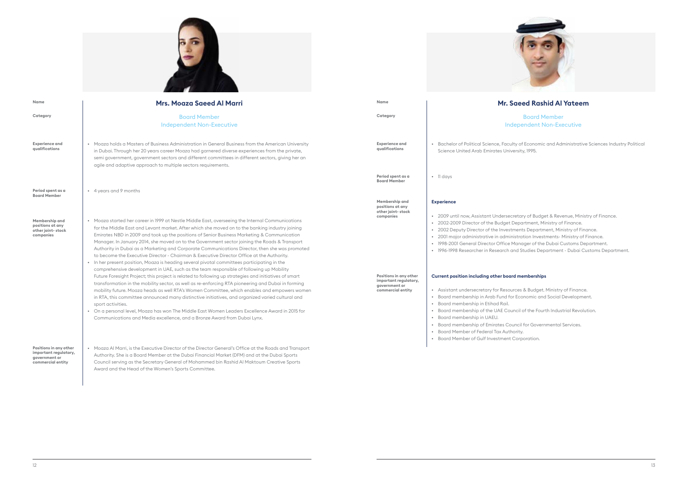Board Member endent Non-Executive

of Economic and Administrative Sciences Industry Political ity, 1995.

- ary of Budget & Revenue, Ministry of Finance.
- bartment, Ministry of Finance.
- nts Department, Ministry of Finance.
- ration Investments- Ministry of Finance.
- hager of the Dubai Customs Department.
- Studies Department Dubai Customs Department.

#### **nemberships**

s & Budget. Ministry of Finance. erformation and Social Development.

**I** of the Fourth Industrial Revolution.

- I for Governmental Services.
- 
- rporation.

#### **Mr. Saeed Rashid Al Yateem**



| Name                                                                                        | <b>Mrs. Moaza Saeed Al Marri</b>                                                                                                                                                                                                                                                                                                                                                                                                                                                                                                                                                                                                                                                                                                                                                                                                                                                                                                                                                                                                                                                                                                                                                                                                                                                                                                                                                                                    | Name                                                                                                                                                          | Mr. Sae                                                                                                                                                                                                                                                                                                                                                                                                                                                                                                                                                                                                                                                                                      |
|---------------------------------------------------------------------------------------------|---------------------------------------------------------------------------------------------------------------------------------------------------------------------------------------------------------------------------------------------------------------------------------------------------------------------------------------------------------------------------------------------------------------------------------------------------------------------------------------------------------------------------------------------------------------------------------------------------------------------------------------------------------------------------------------------------------------------------------------------------------------------------------------------------------------------------------------------------------------------------------------------------------------------------------------------------------------------------------------------------------------------------------------------------------------------------------------------------------------------------------------------------------------------------------------------------------------------------------------------------------------------------------------------------------------------------------------------------------------------------------------------------------------------|---------------------------------------------------------------------------------------------------------------------------------------------------------------|----------------------------------------------------------------------------------------------------------------------------------------------------------------------------------------------------------------------------------------------------------------------------------------------------------------------------------------------------------------------------------------------------------------------------------------------------------------------------------------------------------------------------------------------------------------------------------------------------------------------------------------------------------------------------------------------|
| Category                                                                                    | <b>Board Member</b><br><b>Independent Non-Executive</b>                                                                                                                                                                                                                                                                                                                                                                                                                                                                                                                                                                                                                                                                                                                                                                                                                                                                                                                                                                                                                                                                                                                                                                                                                                                                                                                                                             | Category                                                                                                                                                      | Indepe                                                                                                                                                                                                                                                                                                                                                                                                                                                                                                                                                                                                                                                                                       |
| <b>Experience and</b><br>qualifications                                                     | • Moaza holds a Masters of Business Administration in General Business from the American University<br>in Dubai. Through her 20 years career Moaza had garnered diverse experiences from the private,<br>semi government, government sectors and different committees in different sectors, giving her an<br>agile and adaptive approach to multiple sectors requirements.                                                                                                                                                                                                                                                                                                                                                                                                                                                                                                                                                                                                                                                                                                                                                                                                                                                                                                                                                                                                                                          | <b>Experience and</b><br>qualifications                                                                                                                       | • Bachelor of Political Science, Faculty of<br>Science United Arab Emirates University                                                                                                                                                                                                                                                                                                                                                                                                                                                                                                                                                                                                       |
| Period spent as a                                                                           | • 4 years and 9 months                                                                                                                                                                                                                                                                                                                                                                                                                                                                                                                                                                                                                                                                                                                                                                                                                                                                                                                                                                                                                                                                                                                                                                                                                                                                                                                                                                                              | Period spent as a<br><b>Board Member</b>                                                                                                                      | $\bullet$ 11 days                                                                                                                                                                                                                                                                                                                                                                                                                                                                                                                                                                                                                                                                            |
| <b>Board Member</b><br>Membership and<br>positions at any<br>other joint-stock<br>companies | • Moaza started her career in 1999 at Nestle Middle East, overseeing the Internal Communications<br>for the Middle East and Levant market. After which she moved on to the banking industry joining<br>Emirates NBD in 2009 and took up the positions of Senior Business Marketing & Communication<br>Manager. In January 2014, she moved on to the Government sector joining the Roads & Transport<br>Authority in Dubai as a Marketing and Corporate Communications Director, then she was promoted<br>to become the Executive Director - Chairman & Executive Director Office at the Authority.<br>• In her present position, Moaza is heading several pivotal committees participating in the<br>comprehensive development in UAE, such as the team responsible of following up Mobility<br>Future Foresight Project; this project is related to following up strategies and initiatives of smart<br>transformation in the mobility sector, as well as re-enforcing RTA pioneering and Dubai in forming<br>mobility future. Moaza heads as well RTA's Women Committee, which enables and empowers women<br>in RTA, this committee announced many distinctive initiatives, and organized varied cultural and<br>sport activities.<br>• On a personal level, Moaza has won The Middle East Women Leaders Excellence Award in 2015 for<br>Communications and Media excellence, and a Bronze Award from Dubai Lynx. | Membership and<br>positions at any<br>other joint-stock<br>companies<br>Positions in any other<br>important regulatory,<br>government or<br>commercial entity | <b>Experience</b><br>• 2009 until now, Assistant Undersecretar<br>• 2002-2009 Director of the Budget Depa<br>• 2002 Deputy Director of the Investment<br>• 2001 major administrative in administration<br>• 1998-2001 General Director Office Mand<br>• 1996-1998 Researcher in Research and S<br>Current position including other board me<br>• Assistant undersecretary for Resources<br>• Board membership in Arab Fund for Eco<br>Board membership in Etihad Rail.<br>$\bullet$<br>• Board membership of the UAE Council of<br>• Board membership in UAEU.<br>• Board membership of Emirates Council<br>Board Member of Federal Tax Authority.<br>• Board Member of Gulf Investment Corp |
| Positions in any other<br>important regulatory,<br>government or<br>commercial entity       | • Moaza Al Marri, is the Executive Director of the Director General's Office at the Roads and Transport<br>Authority. She is a Board Member at the Dubai Financial Market (DFM) and at the Dubai Sports<br>Council serving as the Secretary General of Mohammed bin Rashid Al Maktoum Creative Sports<br>Award and the Head of the Women's Sports Committee.                                                                                                                                                                                                                                                                                                                                                                                                                                                                                                                                                                                                                                                                                                                                                                                                                                                                                                                                                                                                                                                        |                                                                                                                                                               |                                                                                                                                                                                                                                                                                                                                                                                                                                                                                                                                                                                                                                                                                              |

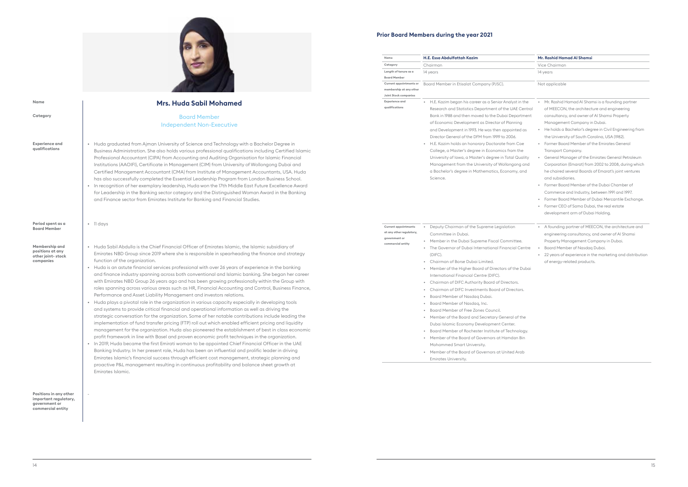| Name                                                                                          | H.E. Essa Abdulfattah Kazim                                                                                                                                                                                                                                                                                                                                                                                                                                                                                                                                                                                                                                                                                                                                                                                                                                                                                                    | Mr. Rashid Hamad Al Shamsi                                                                                                                                                                                                                                                                                                                                                                                                                                                                                                                                                                                                                                                                                                                                                                                                 |
|-----------------------------------------------------------------------------------------------|--------------------------------------------------------------------------------------------------------------------------------------------------------------------------------------------------------------------------------------------------------------------------------------------------------------------------------------------------------------------------------------------------------------------------------------------------------------------------------------------------------------------------------------------------------------------------------------------------------------------------------------------------------------------------------------------------------------------------------------------------------------------------------------------------------------------------------------------------------------------------------------------------------------------------------|----------------------------------------------------------------------------------------------------------------------------------------------------------------------------------------------------------------------------------------------------------------------------------------------------------------------------------------------------------------------------------------------------------------------------------------------------------------------------------------------------------------------------------------------------------------------------------------------------------------------------------------------------------------------------------------------------------------------------------------------------------------------------------------------------------------------------|
| Category                                                                                      | Chairman                                                                                                                                                                                                                                                                                                                                                                                                                                                                                                                                                                                                                                                                                                                                                                                                                                                                                                                       | Vice Chairman                                                                                                                                                                                                                                                                                                                                                                                                                                                                                                                                                                                                                                                                                                                                                                                                              |
| Length of tenure as a<br><b>Board Member</b>                                                  | 14 years                                                                                                                                                                                                                                                                                                                                                                                                                                                                                                                                                                                                                                                                                                                                                                                                                                                                                                                       | 14 years                                                                                                                                                                                                                                                                                                                                                                                                                                                                                                                                                                                                                                                                                                                                                                                                                   |
| Current appointments or<br>membership at any other<br>Joint Stock companies                   | Board Member in Etisalat Company (PJSC).                                                                                                                                                                                                                                                                                                                                                                                                                                                                                                                                                                                                                                                                                                                                                                                                                                                                                       | Not applicable                                                                                                                                                                                                                                                                                                                                                                                                                                                                                                                                                                                                                                                                                                                                                                                                             |
| <b>Experience and</b><br>qualifications                                                       | H.E. Kazim began his career as a Senior Analyst in the<br>$\bullet$<br>Research and Statistics Department of the UAE Central<br>Bank in 1988 and then moved to the Dubai Department<br>of Economic Development as Director of Planning<br>and Development in 1993. He was then appointed as<br>Director General of the DFM from 1999 to 2006.<br>H.E. Kazim holds an honorary Doctorate from Coe<br>College, a Master's degree in Economics from the<br>University of Iowa, a Master's degree in Total Quality<br>Management from the University of Wollongong and<br>a Bachelor's degree in Mathematics, Economy, and<br>Science.                                                                                                                                                                                                                                                                                             | Mr. Rashid Hamad Al Shamsi is a founding partner<br>of MEECON, the architecture and engineering<br>consultancy, and owner of Al Shamsi Property<br>Management Company in Dubai.<br>He holds a Bachelor's degree in Civil Engineering from<br>$\bullet$<br>the University of South Carolina, USA (1982).<br>Former Board Member of the Emirates General<br>Transport Company.<br>General Manager of the Emirates General Petroleum<br>$\bullet$<br>Corporation (Emarat) from 2002 to 2008, during which<br>he chaired several Boards of Emarat's joint ventures<br>and subsidiaries.<br>Former Board Member of the Dubai Chamber of<br>Commerce and Industry, between 1991 and 1997.<br>Former Board Member of Dubai Mercantile Exchange.<br>Former CEO of Sama Dubai, the real estate<br>development arm of Dubai Holding. |
| <b>Current appointments</b><br>at any other regulatory,<br>government or<br>commercial entity | Deputy Chairman of the Supreme Legislation<br>Committee in Dubai.<br>Member in the Dubai Supreme Fiscal Committee.<br>$\bullet$<br>The Governor of Dubai International Financial Centre<br>(DIFC).<br>Chairman of Borse Dubai Limited.<br>$\bullet$<br>Member of the Higher Board of Directors of the Dubai<br>$\bullet$<br>International Financial Centre (DIFC).<br>Chairman of DIFC Authority Board of Directors.<br>$\bullet$<br>Chairman of DIFC Investments Board of Directors.<br>Board Member of Nasdag Dubai.<br>Board Member of Nasdaq, Inc.<br>Board Member of Free Zones Council.<br>$\bullet$<br>Member of the Board and Secretary General of the<br>$\bullet$<br>Dubai Islamic Economy Development Center.<br>Board Member of Rochester Institute of Technology.<br>$\bullet$<br>Member of the Board of Governors at Hamdan Bin<br>Mohammed Smart University.<br>Member of the Board of Governors at United Arab | A founding partner of MEECON, the architecture and<br>$\bullet$<br>engineering consultancy, and owner of AI Shamsi<br>Property Management Company in Dubai.<br>Board Member of Nasdag Dubai.<br>$\bullet$<br>22 years of experience in the marketing and distribution<br>$\bullet$<br>of energy-related products.                                                                                                                                                                                                                                                                                                                                                                                                                                                                                                          |

| ame                                                                               | H.E. Essa Abdulfattah Kazim                                                                                                                                                                                                                                                                                                                                                                                                                                                                                                                                                                                                                                                                                                                                                                                                                                                                                                                                   | Mr. Rashid Hamad Al Shamsi                                                                                                                                                                                                                                                                                                                                                                                                                                                                                                                                                                                                                                                                                                                                                                       |
|-----------------------------------------------------------------------------------|---------------------------------------------------------------------------------------------------------------------------------------------------------------------------------------------------------------------------------------------------------------------------------------------------------------------------------------------------------------------------------------------------------------------------------------------------------------------------------------------------------------------------------------------------------------------------------------------------------------------------------------------------------------------------------------------------------------------------------------------------------------------------------------------------------------------------------------------------------------------------------------------------------------------------------------------------------------|--------------------------------------------------------------------------------------------------------------------------------------------------------------------------------------------------------------------------------------------------------------------------------------------------------------------------------------------------------------------------------------------------------------------------------------------------------------------------------------------------------------------------------------------------------------------------------------------------------------------------------------------------------------------------------------------------------------------------------------------------------------------------------------------------|
| ategory                                                                           | Chairman                                                                                                                                                                                                                                                                                                                                                                                                                                                                                                                                                                                                                                                                                                                                                                                                                                                                                                                                                      | Vice Chairman                                                                                                                                                                                                                                                                                                                                                                                                                                                                                                                                                                                                                                                                                                                                                                                    |
| ength of tenure as a                                                              | 14 years                                                                                                                                                                                                                                                                                                                                                                                                                                                                                                                                                                                                                                                                                                                                                                                                                                                                                                                                                      | 14 years                                                                                                                                                                                                                                                                                                                                                                                                                                                                                                                                                                                                                                                                                                                                                                                         |
| oard Member                                                                       |                                                                                                                                                                                                                                                                                                                                                                                                                                                                                                                                                                                                                                                                                                                                                                                                                                                                                                                                                               |                                                                                                                                                                                                                                                                                                                                                                                                                                                                                                                                                                                                                                                                                                                                                                                                  |
| urrent appointments or<br>embership at any other<br>int Stock companies           | Board Member in Etisalat Company (PJSC).                                                                                                                                                                                                                                                                                                                                                                                                                                                                                                                                                                                                                                                                                                                                                                                                                                                                                                                      | Not applicable                                                                                                                                                                                                                                                                                                                                                                                                                                                                                                                                                                                                                                                                                                                                                                                   |
| (perience and<br>aalifications                                                    | H.E. Kazim began his career as a Senior Analyst in the<br>Research and Statistics Department of the UAE Central<br>Bank in 1988 and then moved to the Dubai Department<br>of Economic Development as Director of Planning<br>and Development in 1993. He was then appointed as<br>Director General of the DFM from 1999 to 2006.<br>H.E. Kazim holds an honorary Doctorate from Coe<br>College, a Master's degree in Economics from the<br>University of Iowa, a Master's degree in Total Quality<br>Management from the University of Wollongong and<br>a Bachelor's degree in Mathematics, Economy, and<br>Science.                                                                                                                                                                                                                                                                                                                                         | Mr. Rashid Hamad Al Shamsi is a founding partner<br>of MEECON, the architecture and engineering<br>consultancy, and owner of Al Shamsi Property<br>Management Company in Dubai.<br>He holds a Bachelor's degree in Civil Engineering from<br>the University of South Carolina, USA (1982).<br>Former Board Member of the Emirates General<br>Transport Company.<br>General Manager of the Emirates General Petroleum<br>Corporation (Emarat) from 2002 to 2008, during which<br>he chaired several Boards of Emarat's joint ventures<br>and subsidiaries.<br>Former Board Member of the Dubai Chamber of<br>Commerce and Industry, between 1991 and 1997.<br>Former Board Member of Dubai Mercantile Exchange.<br>Former CEO of Sama Dubai, the real estate<br>development arm of Dubai Holding. |
| urrent appointments<br>t any other regulatory,<br>overnment or<br>mmercial entity | Deputy Chairman of the Supreme Legislation<br>$\bullet$<br>Committee in Dubai.<br>Member in the Dubai Supreme Fiscal Committee.<br>$\bullet$<br>The Governor of Dubai International Financial Centre<br>$\bullet$<br>(DIFC).<br>Chairman of Borse Dubai Limited.<br>Member of the Higher Board of Directors of the Dubai<br>۰<br>International Financial Centre (DIFC).<br>Chairman of DIFC Authority Board of Directors.<br>$\bullet$<br>Chairman of DIFC Investments Board of Directors.<br>$\bullet$<br>Board Member of Nasdag Dubai.<br>۰<br>Board Member of Nasdag, Inc.<br>Board Member of Free Zones Council.<br>Member of the Board and Secretary General of the<br>Dubai Islamic Economy Development Center.<br>Board Member of Rochester Institute of Technology.<br>۰<br>Member of the Board of Governors at Hamdan Bin<br>۰<br>Mohammed Smart University.<br>Member of the Board of Governors at United Arab<br>$\bullet$<br>Emirates University. | A founding partner of MEECON, the architecture and<br>engineering consultancy, and owner of Al Shamsi<br>Property Management Company in Dubai.<br>Board Member of Nasdag Dubai.<br>22 years of experience in the marketing and distribution<br>of energy-related products.                                                                                                                                                                                                                                                                                                                                                                                                                                                                                                                       |





#### **Category Period spent as a Board Member Membership and positions at any other joint- stock companies Positions in any other important regulatory, government or commercial entity Experience and qualifications Mrs. Huda Sabil Mohamed** Board Member Independent Non-Executive • 11 days • Huda graduated from Ajman University of Science and Technology with a Bachelor Degree in Business Administration. She also holds various professional qualifications including Certified Islamic Professional Accountant (CIPA) from Accounting and Auditing Organisation for Islamic Financial Institutions (AAOIFI), Certificate in Management (CIM) from University of Wollongong Dubai and Certified Management Accountant (CMA) from Institute of Management Accountants, USA. Huda has also successfully completed the Essential Leadership Program from London Business School. • In recognition of her exemplary leadership, Huda won the 17th Middle East Future Excellence Award for Leadership in the Banking sector category and the Distinguished Woman Award in the Banking and Finance sector from Emirates Institute for Banking and Financial Studies. • Huda Sabil Abdulla is the Chief Financial Officer of Emirates Islamic, the Islamic subsidiary of Emirates NBD Group since 2019 where she is responsible in spearheading the finance and strategy function of the organization. • Huda is an astute financial services professional with over 26 years of experience in the banking and finance industry spanning across both conventional and Islamic banking. She began her career with Emirates NBD Group 26 years ago and has been growing professionally within the Group with roles spanning across various areas such as HR, Financial Accounting and Control, Business Finance, Performance and Asset Liability Management and investors relations. • Huda plays a pivotal role in the organization in various capacity especially in developing tools and systems to provide critical financial and operational information as well as driving the strategic conversation for the organization. Some of her notable contributions include leading the implementation of fund transfer pricing (FTP) roll out which enabled efficient pricing and liquidity management for the organization. Huda also pioneered the establishment of best in class economic profit framework in line with Basel and proven economic profit techniques in the organization. • In 2019, Huda became the first Emirati woman to be appointed Chief Financial Officer in the UAE Banking Industry. In her present role, Huda has been an influential and prolific leader in driving Emirates Islamic's financial success through efficient cost management, strategic planning and proactive P&L management resulting in continuous profitability and balance sheet growth at Emirates Islamic. - **Name**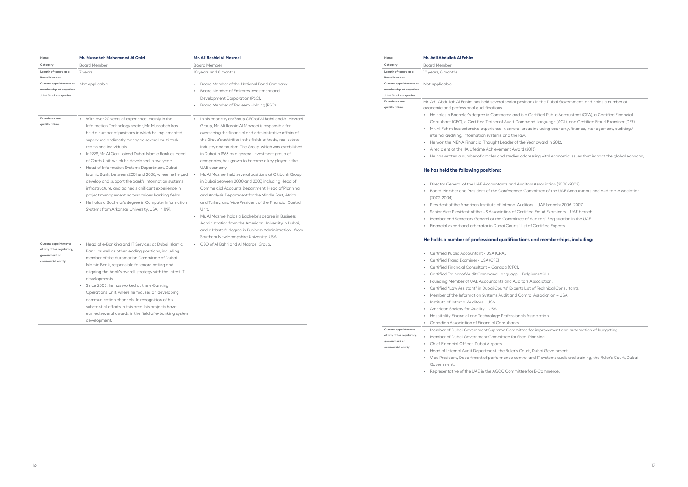• Director General of the UAE Accountants and Auditors Association (2000-2002). Committee of the UAE Accountants and Auditors Association

ditors – UAE branch (2006–2007).

| Name                                      | Mr. Adil Abdullah Al Fahim                                                                           |
|-------------------------------------------|------------------------------------------------------------------------------------------------------|
| Category                                  | <b>Board Member</b>                                                                                  |
| Length of tenure as a                     | 10 years, 8 months                                                                                   |
| <b>Board Member</b>                       |                                                                                                      |
| Current appointments or                   | Not applicable                                                                                       |
| membership at any other                   |                                                                                                      |
| <b>Joint Stock companies</b>              |                                                                                                      |
| <b>Experience and</b><br>qualifications   | Mr. Adil Abdullah Al Fahim has held several senior posi<br>academic and professional qualifications. |
|                                           | He holds a Bachelor's degree in Commerce and is                                                      |
|                                           | Consultant (CFC), a Certified Trainer of Audit Comr                                                  |
|                                           | Mr. Al Fahim has extensive experience in several ar                                                  |
|                                           | internal auditing, information systems and the law.                                                  |
|                                           |                                                                                                      |
|                                           | He won the MENA Financial Thought Leader of the                                                      |
|                                           | A recipient of the IIA Lifetime Achievement Award                                                    |
|                                           | He has written a number of articles and studies ad                                                   |
|                                           | He has held the following positions:                                                                 |
|                                           | Director General of the UAE Accountants and Audi                                                     |
|                                           | Board Member and President of the Conferences C                                                      |
|                                           | (2002-2004).                                                                                         |
|                                           | President of the American Institute of Internal Audi                                                 |
|                                           | Senior Vice President of the US Association of Cert                                                  |
|                                           | $\bullet$                                                                                            |
|                                           | Member and Secretary General of the Committee                                                        |
|                                           | Financial expert and arbitrator in Dubai Courts' Lis<br>$\bullet$                                    |
|                                           | He holds a number of professional qualificatio                                                       |
|                                           | Certified Public Accountant - USA (CPA).                                                             |
|                                           | Certified Fraud Examiner - USA (CFE).                                                                |
|                                           | Certified Financial Consultant - Canada (CFC).                                                       |
|                                           | Certified Trainer of Audit Command Language - Be                                                     |
|                                           | Founding Member of UAE Accountants and Audito<br>$\bullet$                                           |
|                                           | Certified "Law Assistant" in Dubai Courts' Experts I<br>$\bullet$                                    |
|                                           |                                                                                                      |
|                                           | Member of the Information Systems Audit and Cor                                                      |
|                                           | Institute of Internal Auditors - USA.<br>٠                                                           |
|                                           | American Society for Quality - USA.<br>۰                                                             |
|                                           | Hospitality Financial and Technology Professionals<br>۰                                              |
|                                           | Canadian Association of Financial Consultants.<br>$\bullet$                                          |
| <b>Current appointments</b>               | Member of Dubai Government Supreme Committe<br>$\bullet$                                             |
| at any other regulatory,<br>government or | Member of Dubai Government Committee for fisco                                                       |
| commercial entity                         | Chief Financial Officer, Dubai Airports.                                                             |

• Senior Vice President of the US Association of Certified Fraud Examiners – UAE branch.

e of Auditors' Registration in the UAE.

ist of Certified Experts.

#### **He holds a number of professional qualifications and memberships, including:**

belgium (ACL). ers Association. **List of Technical Consultants.** ntrol Association – USA.

s Association.

ee for improvement and automation of budgeting. eal Planning.

• Head of Internal Audit Department, the Ruler's Court, Dubai Government. • Vice President, Department of performance control and IT systems audit and training, the Ruler's Court, Dubai

Government. • Representative of the UAE in the AGCC Committee for E-Commerce.

itions in the Dubai Government, and holds a number of

s a Certified Public Accountant (CPA), a Certified Financial nmand Language (ACL), and Certified Fraud Examiner (CFE).  $r$  reas including economy, finance, management, auditing /

e Year award in 2012.

 $(2013).$ 

ddressing vital economic issues that impact the global economy.

| Name                                                                                          | Mr. Mussabeh Mohammed Al Qaizi                                                                                                                                                                                                                                                                                                                                                                                                                                                                                                                                                                                                                                                                                                                                 | Mr. Ali Rashid Al Mazroei                                                                                                                                                                                                                                                                                                                                                                                                                                                                                                                                                                                                                                                                                                                                                                                                                                                                                                                            | Name |                                                                                                |
|-----------------------------------------------------------------------------------------------|----------------------------------------------------------------------------------------------------------------------------------------------------------------------------------------------------------------------------------------------------------------------------------------------------------------------------------------------------------------------------------------------------------------------------------------------------------------------------------------------------------------------------------------------------------------------------------------------------------------------------------------------------------------------------------------------------------------------------------------------------------------|------------------------------------------------------------------------------------------------------------------------------------------------------------------------------------------------------------------------------------------------------------------------------------------------------------------------------------------------------------------------------------------------------------------------------------------------------------------------------------------------------------------------------------------------------------------------------------------------------------------------------------------------------------------------------------------------------------------------------------------------------------------------------------------------------------------------------------------------------------------------------------------------------------------------------------------------------|------|------------------------------------------------------------------------------------------------|
| Category                                                                                      | <b>Board Member</b>                                                                                                                                                                                                                                                                                                                                                                                                                                                                                                                                                                                                                                                                                                                                            | <b>Board Member</b>                                                                                                                                                                                                                                                                                                                                                                                                                                                                                                                                                                                                                                                                                                                                                                                                                                                                                                                                  |      | Category                                                                                       |
| Length of tenure as a<br><b>Board Member</b>                                                  | 7 years                                                                                                                                                                                                                                                                                                                                                                                                                                                                                                                                                                                                                                                                                                                                                        | 10 years and 8 months                                                                                                                                                                                                                                                                                                                                                                                                                                                                                                                                                                                                                                                                                                                                                                                                                                                                                                                                |      | Length of tenur<br><b>Board Member</b>                                                         |
| Current appointments or<br>membership at any other<br>Joint Stock companies                   | Not applicable                                                                                                                                                                                                                                                                                                                                                                                                                                                                                                                                                                                                                                                                                                                                                 | Board Member of the National Bond Company.<br>Board Member of Emirates Investment and<br>Development Corporation (PSC).<br>Board Member of Taaleem Holding (PSC).                                                                                                                                                                                                                                                                                                                                                                                                                                                                                                                                                                                                                                                                                                                                                                                    |      | Current appoint<br>membership at<br>Joint Stock com<br><b>Experience</b> and<br>qualifications |
| <b>Experience and</b><br>qualifications                                                       | • With over 20 years of experience, mainly in the<br>Information Technology sector, Mr. Mussabeh has<br>held a number of positions in which he implemented,<br>supervised or directly managed several multi-task<br>teams and individuals.<br>In 1999, Mr. Al Qaizi joined Dubai Islamic Bank as Head<br>of Cards Unit, which he developed in two years.<br>• Head of Information Systems Department, Dubai<br>Islamic Bank, between 2001 and 2008, where he helped<br>develop and support the bank's information systems<br>infrastructure, and gained significant experience in<br>project management across various banking fields.<br>He holds a Bachelor's degree in Computer Information<br>$\bullet$<br>Systems from Arkansas University, USA, in 1991. | • In his capacity as Group CEO of Al Bahri and Al Mazroei<br>Group, Mr. Ali Rashid Al Mazroei is responsible for<br>overseeing the financial and administrative affairs of<br>the Group's activities in the fields of trade, real estate,<br>industry and tourism. The Group, which was established<br>in Dubai in 1968 as a general investment group of<br>companies, has grown to become a key player in the<br>UAE economy.<br>Mr. Al Mazroei held several positions at Citibank Group<br>in Dubai between 2000 and 2007, including Head of<br>Commercial Accounts Department, Head of Planning<br>and Analysis Department for the Middle East, Africa<br>and Turkey, and Vice President of the Financial Control<br>Unit.<br>Mr. Al Mazroei holds a Bachelor's degree in Business<br>Administration from the American University in Dubai,<br>and a Master's degree in Business Administration - from<br>Southern New Hampshire University, USA. |      |                                                                                                |
| <b>Current appointments</b><br>at any other regulatory,<br>government or<br>commercial entity | Head of e-Banking and IT Services at Dubai Islamic<br>$\bullet$<br>Bank, as well as other leading positions, including<br>member of the Automation Committee of Dubai<br>Islamic Bank, responsible for coordinating and<br>aligning the bank's overall strategy with the latest IT<br>developments.<br>Since 2008, he has worked at the e-Banking<br>$\bullet$<br>Operations Unit, where he focuses on developing<br>communication channels. In recognition of his<br>substantial efforts in this area, his projects have<br>earned several awards in the field of e-banking system<br>development.                                                                                                                                                            | • CEO of Al Bahri and Al Mazroei Group.                                                                                                                                                                                                                                                                                                                                                                                                                                                                                                                                                                                                                                                                                                                                                                                                                                                                                                              |      |                                                                                                |
|                                                                                               |                                                                                                                                                                                                                                                                                                                                                                                                                                                                                                                                                                                                                                                                                                                                                                |                                                                                                                                                                                                                                                                                                                                                                                                                                                                                                                                                                                                                                                                                                                                                                                                                                                                                                                                                      |      | Current appoint<br>at any other reg                                                            |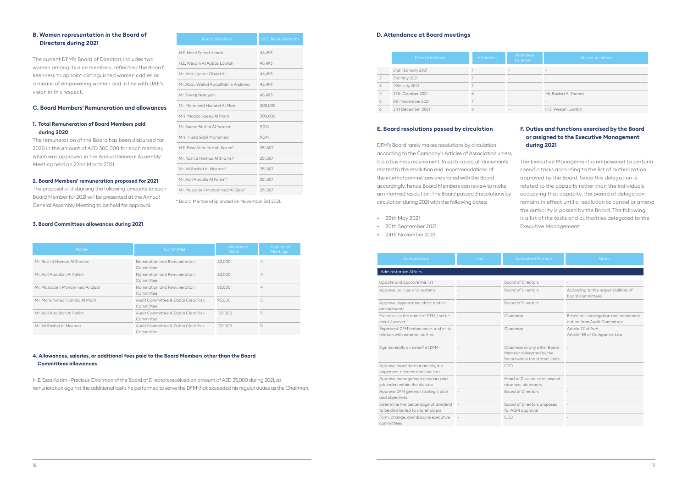#### **D. Attendance at Board meetings**

|                | Date of meeting    | <b>Attendees</b> | <b>Attendees</b><br>by proxy | A                    |
|----------------|--------------------|------------------|------------------------------|----------------------|
|                | 2nd February 2021  |                  |                              |                      |
| $\overline{2}$ | 3rd May 2021       |                  | $\overline{\phantom{a}}$     |                      |
| 3              | 29th July 2021     |                  |                              |                      |
| 4              | 27th October 2021  | 6                |                              | Mr. Rashid Al Shamsi |
| 5              | 8th November 2021  |                  |                              |                      |
| 6              | 21st December 2021 |                  |                              | H.E. Wesam Lootah    |

#### **E. Board resolutions passed by circulation**

DFM's Board rarely makes resolutions by circulation according to the Company's Articles of Association unless it is a business requirement. In such cases, all documents related to the resolution and recommendations of the internal committees are shared with the Board accordingly, hence Board Members can review to make an informed resolution. The Board passed 3 resolutions by circulation during 2021 with the following dates:

- 25th May 2021
- 20th September 2021
- 24th November 2021

#### **F. Duties and functions exercised by the Board or assigned to the Executive Management during 2021**

The Executive Management is empowered to perform specific tasks according to the list of authorization approved by the Board. Since this delegation is related to the capacity rather than the individuals occupying that capacity, the period of delegation remains in effect until a resolution to cancel or amend the authority is passed by the Board. The following is a list of the tasks and authorities delegated to the Executive Management:

| Authorization                                                             | Limit                    | <b>Authorized Position</b>                                                               | <b>Notes</b>                                                        |
|---------------------------------------------------------------------------|--------------------------|------------------------------------------------------------------------------------------|---------------------------------------------------------------------|
| <b>Administrative Affairs</b>                                             |                          |                                                                                          |                                                                     |
| Update and approve this list                                              |                          | <b>Board of Directors</b>                                                                |                                                                     |
| Approve policies and systems                                              |                          | <b>Board of Directors</b>                                                                | According to the responsibilities of<br>Board committees            |
| Approve organization chart and its<br>amendments                          |                          | <b>Board of Directors</b>                                                                |                                                                     |
| File cases in the name of DFM / settle-<br>ment / waiver                  |                          | Chairman                                                                                 | Based on investigation and recommen-<br>dation from Audit Committee |
| Represent DFM before court and in its<br>relation with external parties   |                          | Chairman                                                                                 | Article 27 of AoA<br>Article 155 of Companies Law                   |
| Sign severally on behalf of DFM                                           |                          | Chairman or any other Board<br>Member delegated by the<br>Board within the stated limits |                                                                     |
| Approve procedures manuals, ma-<br>nagement decrees and circulars         |                          | CEO                                                                                      |                                                                     |
| Approve management circulars and<br>job orders within the division        | $\overline{\phantom{a}}$ | Head of Division, or in case of<br>absence, his deputy                                   |                                                                     |
| Approve DFM general strategic plan<br>and objectives                      |                          | <b>Board of Directors</b>                                                                |                                                                     |
| Determine the percentage of dividend<br>to be distributed to shareholders | $\overline{\phantom{a}}$ | <b>Board of Directors proposes</b><br>for AGM approval                                   |                                                                     |
| Form, change, and dissolve executive<br>committees                        |                          | CEO                                                                                      |                                                                     |

| <b>Attendees</b> | <b>Attendees</b><br>by proxy | Absent members       |
|------------------|------------------------------|----------------------|
|                  |                              |                      |
|                  |                              |                      |
|                  |                              |                      |
|                  |                              | Mr. Rashid Al Shamsi |
|                  |                              |                      |
|                  |                              | H.E. Wesam Lootah    |

#### **B. Women representation in the Board of Directors during 2021**

The current DFM's Board of Directors includes two women among its nine members, reflecting the Board' keenness to appoint distinguished women cadres as a means of empowering women and in line with UAE's vision in this respect.

#### **C. Board Members' Remuneration and allowances**

#### **1. Total Remuneration of Board Members paid during 2020**

The remuneration of the Board has been disbursed for 2020 in the amount of AED 300,000 for each member, which was approved in the Annual General Assembly Meeting held on 22nd March 2021.

#### **2. Board Members' remuneration proposed for 2021**

The proposal of disbursing the following amounts to each Board Member for 2021 will be presented at the Annual General Assembly Meeting to be held for approval.

#### **3. Board Committees allowances during 2021**

\* Board Membership ended on November 3rd 2021.

| <b>Board Members</b>              | <b>2021 Remunerations</b> |
|-----------------------------------|---------------------------|
| H.E. Helal Saeed Almarri          | 48,493                    |
| H.E. Wesam Al Abbas Lootah        | 48,493                    |
| Mr. Abdulgader Obaid Ali          | 48.493                    |
| Mr. AbdulWahid AbdulRahim Alulama | 48,493                    |
| Mr. Yuvraj Narayan                | 48,493                    |
| Mr. Mohamed Humaid Al Marri       | 300,000                   |
| Mrs. Moaza Saeed Al Marri         | 300,000                   |
| Mr. Saeed Rashid Al Yateem        | 9.041                     |
| Mrs. Huda Sabil Mohamed           | 9.041                     |
| H.E. Essa Abdulfattah Kazim*      | 251,507                   |
| Mr. Rashid Hamad Al Shamsi*       | 251,507                   |
| Mr. Ali Rashid Al Mazroei*        | 251,507                   |
| Mr. Adil Abdulla Al Fahim*        | 251,507                   |
| Mr. Mussabeh Mohammed Al Qaizi*   | 251,507                   |

| <b>Name</b>                    | Committee                                       | <b>Allowance</b><br>Value | Number of<br><b>Meetings</b> |
|--------------------------------|-------------------------------------------------|---------------------------|------------------------------|
| Mr. Rashid Hamad Al Shamsi     | Nomination and Remuneration<br>Committee        | 60,000                    | $\overline{4}$               |
| Mr. Adil Abdullah Al Fahim     | Nomination and Remuneration<br>Committee        | 60,000                    | $\overline{4}$               |
| Mr. Mussabeh Mohammed Al Qaizi | Nomination and Remuneration<br>Committee        | 60,000                    | $\overline{4}$               |
| Mr. Mohammed Humaid Al Marri   | Audit Committee & Dubai Clear Risk<br>Committee | 95,000                    | 5                            |
| Mr. Adil Abdullah Al Fahim     | Audit Committee & Dubai Clear Risk<br>Committee | 100.000                   | 5                            |
| Mr. Ali Rashid Al Mazroei      | Audit Committee & Dubai Clear Risk<br>Committee | 100.000                   | 5                            |

#### **4. Allowances, salaries, or additional fees paid to the Board Members other than the Board Committees allowances**

H.E. Essa Kazim - Previous Chairman of the Board of Directors received an amount of AED 25,000 during 2021, as remuneration against the additional tasks he performed to serve the DFM that exceeded his regular duties as the Chairman.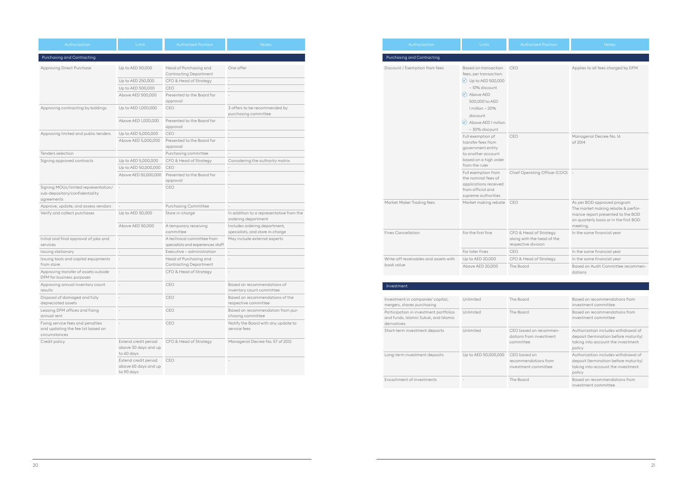| Authorization                                                                                  | Limit                                                                                                                                                                                                                                   | <b>Authorized Position</b>                                                  | <b>Notes</b>                                                                                                                                                 |
|------------------------------------------------------------------------------------------------|-----------------------------------------------------------------------------------------------------------------------------------------------------------------------------------------------------------------------------------------|-----------------------------------------------------------------------------|--------------------------------------------------------------------------------------------------------------------------------------------------------------|
| Purchasing and Contracting                                                                     |                                                                                                                                                                                                                                         |                                                                             |                                                                                                                                                              |
| Discount / Exemption from fees                                                                 | Based on transaction<br>fees, per transaction:<br>$\checkmark$ ) Up to AED 500,000<br>- 10% discount<br>$\checkmark$ Above AED<br>500,000 to AED<br>$1$ million - 20%<br>discount<br>$\checkmark$ Above AED 1 million<br>- 30% discount | CEO                                                                         | Applies to all fees charged by DFM                                                                                                                           |
|                                                                                                | Full exemption pf<br>transfer fees from<br>government entity<br>to another account<br>based on a high order<br>from the ruler                                                                                                           | CEO                                                                         | Managerial Decree No. 16<br>of 2014                                                                                                                          |
|                                                                                                | Full exemption from<br>the nominal fees of<br>applications received<br>from official and<br>supreme authorities                                                                                                                         | Chief Operating Officer (COO) -                                             |                                                                                                                                                              |
| Market Maker Trading fees                                                                      | Market making rebate CEO                                                                                                                                                                                                                |                                                                             | As per BOD approved program<br>The market making rebate & perfor-<br>mance report presented to the BOD<br>on quarterly basis or in the first BOD<br>meeting. |
| <b>Fines Cancellation</b>                                                                      | For the first fine                                                                                                                                                                                                                      | CFO & Head of Strategy<br>along with the head of the<br>respective division | In the same financial year                                                                                                                                   |
|                                                                                                | For later fines                                                                                                                                                                                                                         | <b>CEO</b>                                                                  | In the same financial year                                                                                                                                   |
| Write-off receivables and assets with                                                          | Up to AED 20,000                                                                                                                                                                                                                        | CFO & Head of Strategy                                                      | In the same financial year                                                                                                                                   |
| book value                                                                                     | Above AED 20,000                                                                                                                                                                                                                        | The Board                                                                   | Based on Audit Committee recommen-<br>dations                                                                                                                |
|                                                                                                |                                                                                                                                                                                                                                         |                                                                             |                                                                                                                                                              |
| Investment                                                                                     |                                                                                                                                                                                                                                         |                                                                             |                                                                                                                                                              |
|                                                                                                |                                                                                                                                                                                                                                         |                                                                             |                                                                                                                                                              |
| Investment in companies' capital,<br>mergers, shares purchasing                                | Unlimited                                                                                                                                                                                                                               | The Board                                                                   | Based on recommendations from<br>investment committee                                                                                                        |
| Participation in investment portfolios<br>and funds, Islamic Sukuk, and Islamic<br>derivatives | Unlimited                                                                                                                                                                                                                               | The Board                                                                   | Based on recommendations from<br>investment committee                                                                                                        |
| Short-term investment deposits                                                                 | Unlimited                                                                                                                                                                                                                               | CEO based on recommen-<br>dations from investment<br>committee              | Authorization includes withdrawal of<br>deposit (termination before maturity)<br>taking into account the investment<br>policy                                |

| Investment in companies' capital,<br>mergers, shares purchasing                                | Unlimited            | The Board                                                      | Based on recommendations from<br>investment committee                                                                         |
|------------------------------------------------------------------------------------------------|----------------------|----------------------------------------------------------------|-------------------------------------------------------------------------------------------------------------------------------|
| Participation in investment portfolios<br>and funds, Islamic Sukuk, and Islamic<br>derivatives | Unlimited            | The Board                                                      | Based on recommendations from<br>investment committee                                                                         |
| Short-term investment deposits                                                                 | Unlimited            | CEO based on recommen-<br>dations from investment<br>committee | Authorization includes withdrawal of<br>deposit (termination before maturity)<br>taking into account the investment<br>policy |
| Long-term investment deposits                                                                  | Up to AED 50,000,000 | CEO based on<br>recommendations from<br>investment committee   | Authorization includes withdrawal of<br>deposit (termination before maturity)<br>taking into account the investment<br>policy |
| Encashment of investments                                                                      |                      | The Board                                                      | Based on recommendations from<br>investment committee                                                                         |

| Authorization                                                          | Limit                                                          | <b>Authorized Position</b>                                      | <b>Notes</b>                                                    | Authorization                                                   | Limit                                              | <b>Authorized Position</b>                                   |                                                                              |
|------------------------------------------------------------------------|----------------------------------------------------------------|-----------------------------------------------------------------|-----------------------------------------------------------------|-----------------------------------------------------------------|----------------------------------------------------|--------------------------------------------------------------|------------------------------------------------------------------------------|
| <b>Purchasing and Contracting</b>                                      |                                                                |                                                                 |                                                                 | Purchasing and Contracting                                      |                                                    |                                                              |                                                                              |
| <b>Approving Direct Purchase</b>                                       | Up to AED 50,000                                               | Head of Purchasing and<br><b>Contracting Department</b>         | One offer                                                       | Discount / Exemption from fees                                  | Based on transaction CEO<br>fees, per transaction: |                                                              | Applies to all fees char                                                     |
|                                                                        | Up to AED 250,000                                              | CFO & Head of Strategy                                          |                                                                 |                                                                 | $\vee$ Up to AED 500,000                           |                                                              |                                                                              |
|                                                                        | Up to AED 500,000                                              | CEO                                                             |                                                                 |                                                                 | - 10% discount                                     |                                                              |                                                                              |
|                                                                        | Above AED 500,000                                              | Presented to the Board for                                      |                                                                 |                                                                 | Above AED                                          |                                                              |                                                                              |
|                                                                        |                                                                | approval                                                        |                                                                 |                                                                 | 500,000 to AED                                     |                                                              |                                                                              |
| Approving contracting by biddings                                      | Up to AED 1,000,000                                            | <b>CEO</b>                                                      | 3 offers to be recommended by<br>purchasing committee           |                                                                 | 1 million - 20%<br>discount                        |                                                              |                                                                              |
|                                                                        | Above AED 1,000,000                                            | Presented to the Board for                                      |                                                                 |                                                                 | $\vee$ Above AED 1 million                         |                                                              |                                                                              |
|                                                                        |                                                                | approval                                                        |                                                                 |                                                                 |                                                    |                                                              |                                                                              |
| Approving limited and public tenders                                   | Up to AED 5,000,000                                            | <b>CEO</b>                                                      |                                                                 |                                                                 | - 30% discount                                     |                                                              |                                                                              |
|                                                                        | Above AED 5,000,000                                            | Presented to the Board for<br>approval                          |                                                                 |                                                                 | Full exemption pf<br>transfer fees from            | <b>CEO</b>                                                   | Managerial Decree No<br>of 2014                                              |
| Tenders selection                                                      |                                                                | Purchasing committee                                            |                                                                 |                                                                 | government entity<br>to another account            |                                                              |                                                                              |
| Signing approved contracts                                             | Up to AED 5,000,000                                            | CFO & Head of Strategy                                          | Considering the authority matrix                                |                                                                 | based on a high order                              |                                                              |                                                                              |
|                                                                        | Up to AED 50,000,000                                           | <b>CEO</b>                                                      |                                                                 |                                                                 | from the ruler                                     |                                                              |                                                                              |
|                                                                        | Above AED 50,000,000                                           | Presented to the Board for                                      |                                                                 |                                                                 | Full exemption from                                | Chief Operating Officer (COO)                                |                                                                              |
|                                                                        |                                                                | approval                                                        |                                                                 |                                                                 | the nominal fees of<br>applications received       |                                                              |                                                                              |
| Signing MOUs/limited representation/<br>sub-depositary/confidentiality |                                                                | CEO                                                             |                                                                 |                                                                 | from official and<br>supreme authorities           |                                                              |                                                                              |
| agreements                                                             |                                                                |                                                                 |                                                                 | Market Maker Trading fees                                       | Market making rebate CEO                           |                                                              | As per BOD approved                                                          |
| Approve, update, and assess vendors                                    |                                                                | <b>Purchasing Committee</b>                                     |                                                                 |                                                                 |                                                    |                                                              | The market making reb                                                        |
| Verify and collect purchases                                           | Up to AED 50,000                                               | Store in-charge                                                 | In addition to a representative from the<br>ordering department |                                                                 |                                                    |                                                              | mance report presente<br>on quarterly basis or in                            |
|                                                                        | Above AED 50,000                                               | A temporary receiving                                           | Includes ordering department,                                   |                                                                 |                                                    |                                                              | meeting.                                                                     |
|                                                                        |                                                                | committee                                                       | specialists, and store in-charge                                | <b>Fines Cancellation</b>                                       | For the first fine                                 | CFO & Head of Strategy                                       | In the same financial y                                                      |
| Initial and final approval of jobs and<br>services                     |                                                                | A technical committee from<br>specialists and experiences staff | May include external experts                                    |                                                                 |                                                    | along with the head of the<br>respective division            |                                                                              |
| Issuing stationary                                                     |                                                                | Executive - administration                                      |                                                                 |                                                                 | For later fines                                    | CEO                                                          | In the same financial y                                                      |
| Issuing tools and capital equipments                                   | $\sim$                                                         | Head of Purchasing and                                          |                                                                 | Write-off receivables and assets with                           | Up to AED 20,000                                   | CFO & Head of Strategy                                       | In the same financial y                                                      |
| from store<br>Approving transfer of assets outside                     |                                                                | <b>Contracting Department</b><br>CFO & Head of Strategy         |                                                                 | book value                                                      | Above AED 20,000                                   | The Board                                                    | <b>Based on Audit Comm</b><br>dations                                        |
| DFM for business purposes                                              |                                                                |                                                                 |                                                                 |                                                                 |                                                    |                                                              |                                                                              |
| Approving annual inventory count<br>results                            |                                                                | CEO                                                             | Based on recommendations of<br>inventory count committee        | Investment                                                      |                                                    |                                                              |                                                                              |
| Disposal of damaged and fully<br>depreciated assets                    |                                                                | CEO                                                             | Based on recommendations of the<br>respective committee         | Investment in companies' capital,<br>mergers, shares purchasing | Unlimited                                          | The Board                                                    | Based on recommendo<br>investment committee                                  |
| Leasing DFM offices and fixing                                         |                                                                | CEO                                                             | Based on recommendation from pur-                               | Participation in investment portfolios                          | Unlimited                                          | The Board                                                    | Based on recommendo                                                          |
| annual rent                                                            |                                                                |                                                                 | chasing committee                                               | and funds, Islamic Sukuk, and Islamic                           |                                                    |                                                              | investment committee                                                         |
| Fixing service fees and penalties                                      |                                                                | CEO                                                             | Notify the Board with any update to                             | derivatives                                                     |                                                    |                                                              |                                                                              |
| and updating the fee list based on<br>circumstances                    |                                                                |                                                                 | service fees                                                    | Short-term investment deposits                                  | Unlimited                                          | CEO based on recommen-<br>dations from investment            | Authorization includes<br>deposit (termination be                            |
| Credit policy                                                          | Extend credit period<br>above 30 days and up                   | CFO & Head of Strategy                                          | Managerial Decree No. 57 of 2012                                |                                                                 |                                                    | committee                                                    | taking into account the<br>policy                                            |
|                                                                        | to 60 days<br>Extend credit period CEO<br>above 60 days and up |                                                                 |                                                                 | Long-term investment deposits                                   | Up to AED 50,000,000                               | CEO based on<br>recommendations from<br>investment committee | Authorization includes<br>deposit (termination be<br>taking into account the |
|                                                                        | to 90 days                                                     |                                                                 |                                                                 |                                                                 |                                                    |                                                              | policy                                                                       |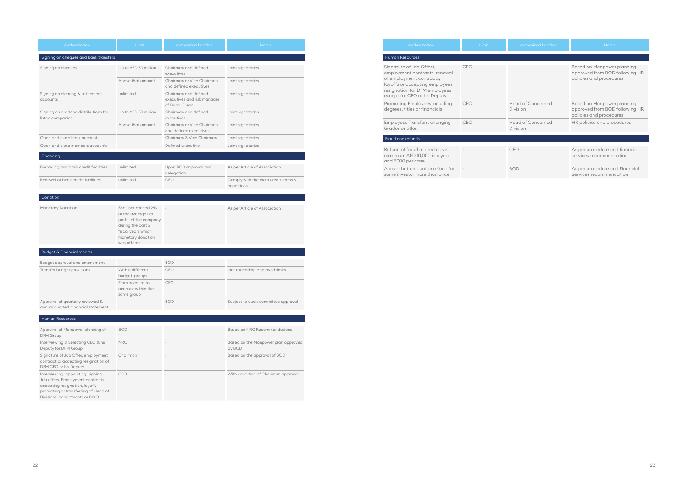| Authorization                                                                                                                                                                            | Limit      | <b>Authorized Position</b>                  | <b>Notes</b>                                                                            |  |
|------------------------------------------------------------------------------------------------------------------------------------------------------------------------------------------|------------|---------------------------------------------|-----------------------------------------------------------------------------------------|--|
| Human Resources                                                                                                                                                                          |            |                                             |                                                                                         |  |
| Signature of Job Offers,<br>employment contracts, renewal<br>of employment contracts,<br>layoffs or accepting employees<br>resignation for DFM employees<br>except for CEO or his Deputy | CEO        |                                             | Based on Manpower planning<br>approved from BOD following HR<br>policies and procedures |  |
| Promoting Employees including<br>degrees, titles or financials                                                                                                                           | <b>CEO</b> | <b>Head of Concerned</b><br>Division        | Based on Manpower planning<br>approved from BOD following HR<br>policies and procedures |  |
| Employees Transfers, changing<br>Grades or titles                                                                                                                                        | <b>CEO</b> | <b>Head of Concerned</b><br><b>Division</b> | HR policies and procedures                                                              |  |
| Fraud and refunds                                                                                                                                                                        |            |                                             |                                                                                         |  |
| Refund of fraud related cases<br>maximum AED 10,000 in a year<br>and 5000 per case                                                                                                       |            | CEO                                         | As per procedure and financial<br>services recommendation                               |  |
| Above that amount or refund for<br>same investor more than once                                                                                                                          |            | <b>BOD</b>                                  | As per procedure and Financial<br>Services recommendation                               |  |

| Authorization                                                                                                                                                                     | Limit                                                                                                                                             | <b>Authorized Position</b>                                                    | <b>Notes</b>                                      |
|-----------------------------------------------------------------------------------------------------------------------------------------------------------------------------------|---------------------------------------------------------------------------------------------------------------------------------------------------|-------------------------------------------------------------------------------|---------------------------------------------------|
| Signing on cheques and bank transfers                                                                                                                                             |                                                                                                                                                   |                                                                               |                                                   |
| Signing on cheques                                                                                                                                                                | Up to AED 50 million<br>Above that amount                                                                                                         | Chairman and defined<br>executives<br>Chairman or Vice Chairman               | Joint signatories<br>Joint signatories            |
| Signing on clearing & settlement<br>accounts                                                                                                                                      | unlimited                                                                                                                                         | and defined executives<br>Chairman and defined<br>executives and risk manager | Joint signatories                                 |
| Signing on dividend distributions for<br>listed companies                                                                                                                         | Up to AED 50 million                                                                                                                              | of Dubai Clear<br>Chairman and defined<br>executives                          | Joint signatories                                 |
|                                                                                                                                                                                   | Above that amount                                                                                                                                 | Chairman or Vice Chairman<br>and defined executives                           | Joint signatories                                 |
| Open and close bank accounts                                                                                                                                                      |                                                                                                                                                   | Chairman & Vice Chairman                                                      | Joint signatories                                 |
| Open and close members accounts                                                                                                                                                   |                                                                                                                                                   | Defined executive                                                             | Joint signatories                                 |
| Financing                                                                                                                                                                         |                                                                                                                                                   |                                                                               |                                                   |
| Borrowing and bank credit facilities                                                                                                                                              | unlimited                                                                                                                                         | Upon BOD approval and<br>delegation                                           | As per Article of Association                     |
| Renewal of bank credit facilities                                                                                                                                                 | unlimited                                                                                                                                         | CEO                                                                           | Comply with the main credit terms &<br>conditions |
|                                                                                                                                                                                   |                                                                                                                                                   |                                                                               |                                                   |
| Donation                                                                                                                                                                          |                                                                                                                                                   |                                                                               |                                                   |
| Monetary Donation                                                                                                                                                                 | Shall not exceed 2%<br>of the average net<br>profit of the company<br>during the past 2<br>fiscal years which<br>monetary donation<br>was offered |                                                                               | As per Article of Association                     |
| <b>Budget &amp; Financial reports</b>                                                                                                                                             |                                                                                                                                                   |                                                                               |                                                   |
| Budget approval and amendment                                                                                                                                                     |                                                                                                                                                   | <b>BOD</b>                                                                    |                                                   |
| Transfer budget provisions                                                                                                                                                        | Within different<br>budget groups                                                                                                                 | CEO                                                                           | Not exceeding approved limits                     |
|                                                                                                                                                                                   | From account to<br>account within the<br>same group                                                                                               | <b>CFO</b>                                                                    |                                                   |
| Approval of quarterly reviewed &<br>annual audited financial statement                                                                                                            |                                                                                                                                                   | <b>BOD</b>                                                                    | Subject to audit committee approval               |
| <b>Human Resources</b>                                                                                                                                                            |                                                                                                                                                   |                                                                               |                                                   |
|                                                                                                                                                                                   |                                                                                                                                                   |                                                                               |                                                   |
| Approval of Manpower planning of<br>DFM Group                                                                                                                                     | <b>BOD</b>                                                                                                                                        |                                                                               | <b>Based on NRC Recommendations</b>               |
| Interviewing & Selecting CEO & his<br>Deputy for DFM Group                                                                                                                        | <b>NRC</b>                                                                                                                                        |                                                                               | Based on the Manpower plan approved<br>by BOD     |
| Signature of Job Offer, employment<br>contract or accepting resignation of<br>DFM CEO or his Deputy                                                                               | Chairman                                                                                                                                          |                                                                               | Based on the approval of BOD                      |
| Interviewing, appointing, signing<br>Job offers, Employment contracts,<br>accepting resignation, layoff,<br>promoting or transferring of Head of<br>Divisions, departments or COO | CEO                                                                                                                                               |                                                                               | With condition of Chairman approval               |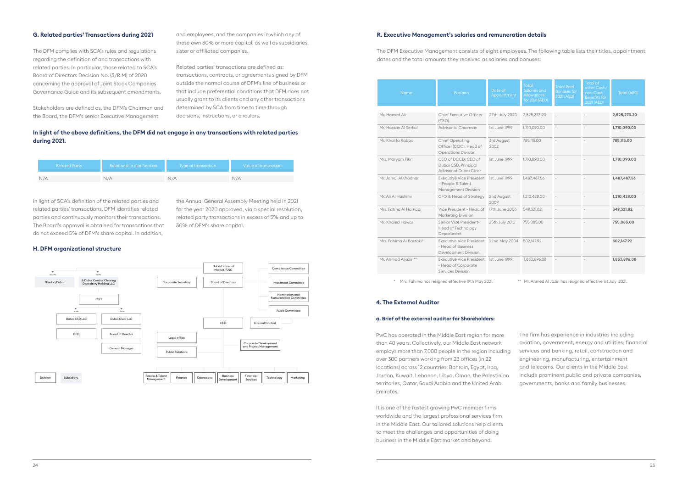#### **G. Related parties' Transactions during 2021**

The DFM complies with SCA's rules and regulations regarding the definition of and transactions with related parties. In particular, those related to SCA's Board of Directors Decision No. (3/R.M) of 2020 concerning the approval of Joint Stock Companies Governance Guide and its subsequent amendments.

Stakeholders are defined as, the DFM's Chairman and the Board, the DFM's senior Executive Management

and employees, and the companies in which any of these own 30% or more capital, as well as subsidiaries, sister or affiliated companies.

Related parties' transactions are defined as: transactions, contracts, or agreements signed by DFM outside the normal course of DFM's line of business or that include preferential conditions that DFM does not usually grant to its clients and any other transactions determined by SCA from time to time through decisions, instructions, or circulars.

#### **H. DFM organizational structure**

In light of SCA's definition of the related parties and related parties' transactions, DFM identifies related parties and continuously monitors their transactions. The Board's approval is obtained for transactions that do not exceed 5% of DFM's share capital. In addition,

the Annual General Assembly Meeting held in 2021 for the year 2020 approved, via a special resolution, related party transactions in excess of 5% and up to 30% of DFM's share capital.

#### **In light of the above definitions, the DFM did not engage in any transactions with related parties during 2021.**

| Related Party | <b>Relationship clarification</b> | Type of transaction | Value of transaction |
|---------------|-----------------------------------|---------------------|----------------------|
|               | N/A                               | N/A                 |                      |



#### **R. Executive Management's salaries and remuneration details**

It is one of the fastest growing PwC member firms worldwide and the largest professional services firm in the Middle East. Our tailored solutions help clients to meet the challenges and opportunities of doing business in the Middle East market and beyond.

The DFM Executive Management consists of eight employees. The following table lists their titles, appointment dates and the total amounts they received as salaries and bonuses:

| Name                    | Position                                                                      | Date of<br>Appointment | Total<br>Salaries and<br><b>Allowances</b><br>for 2021 (AED) | <b>Total Paid</b><br><b>Bonuses for</b><br>2021(AED) | Total of<br>other Cash/<br>non-Cash<br><b>Benefits for</b><br>2021 (AED) | <b>Total (AED)</b> |
|-------------------------|-------------------------------------------------------------------------------|------------------------|--------------------------------------------------------------|------------------------------------------------------|--------------------------------------------------------------------------|--------------------|
| Mr. Hamed Ali           | Chief Executive Officer<br>(CEO)                                              | 27th July 2020         | 2,525,273.20                                                 | $\overline{\phantom{a}}$                             |                                                                          | 2,525,273.20       |
| Mr. Hassan Al Serkal    | Advisor to Chairman                                                           | 1st June 1999          | 1,710,090.00                                                 | ÷,                                                   |                                                                          | 1,710,090.00       |
| Mr. Khalifa Rabba       | Chief Operating<br>Officer (COO), Head of<br><b>Operations Division</b>       | 3rd August<br>2002     | 785,115.00                                                   |                                                      |                                                                          | 785,115.00         |
| Mrs. Maryam Fikri       | CEO of DCCD, CEO of<br>Dubai CSD, Principal<br>Advisor of Dubai Clear         | 1st June 1999          | 1,710,090,00                                                 |                                                      |                                                                          | 1,710,090.00       |
| Mr. Jamal AlKhadhar     | <b>Executive Vice President</b><br>- People & Talent<br>Management Division   | 1st June 1999          | 1,487,487.56                                                 |                                                      |                                                                          | 1,487,487.56       |
| Mr. Ali Al Hashimi      | CFO & Head of Strategy                                                        | 2nd August<br>2009     | 1,210,428.00                                                 |                                                      |                                                                          | 1,210,428.00       |
| Mrs. Fatma Al Hamadi    | Vice President - Head of<br><b>Marketing Division</b>                         | 17th June 2006         | 549,321.82                                                   |                                                      |                                                                          | 549,321.82         |
| Mr. Khaled Hawas        | Senior Vice President-<br>Head of Technology<br>Department                    | 25th July 2010         | 755,085.00                                                   | ÷,                                                   | $\overline{\phantom{a}}$                                                 | 755,085.00         |
| Mrs. Fahima Al Bastaki* | <b>Executive Vice President</b><br>- Head of Business<br>Development Division | 22nd May 2004          | 502,147.92                                                   | $\sim$                                               |                                                                          | 502,147.92         |
| Mr. Ahmad Aljaziri**    | <b>Executive Vice President</b><br>- Head of Corporate<br>Services Division   | 1st June 1999          | 1,833,896.08                                                 | $\overline{\phantom{a}}$                             |                                                                          | 1,833,896.08       |

\* Mrs. Fahima has resigned effective 19th May 2021. \*\* Mr. Ahmed Al Jaziri has resigned effective 1st July 2021.

#### **4. The External Auditor**

#### **a. Brief of the external auditor for Shareholders:**

PwC has operated in the Middle East region for more than 40 years. Collectively, our Middle East network employs more than 7,000 people in the region including over 300 partners working from 23 offices (in 22 locations) across 12 countries: Bahrain, Egypt, Iraq, Jordan, Kuwait, Lebanon, Libya, Oman, the Palestinian territories, Qatar, Saudi Arabia and the United Arab Emirates. The firm has experience in industries including aviation, government, energy and utilities, financial services and banking, retail, construction and engineering, manufacturing, entertainment and telecoms. Our clients in the Middle East include prominent public and private companies, governments, banks and family businesses.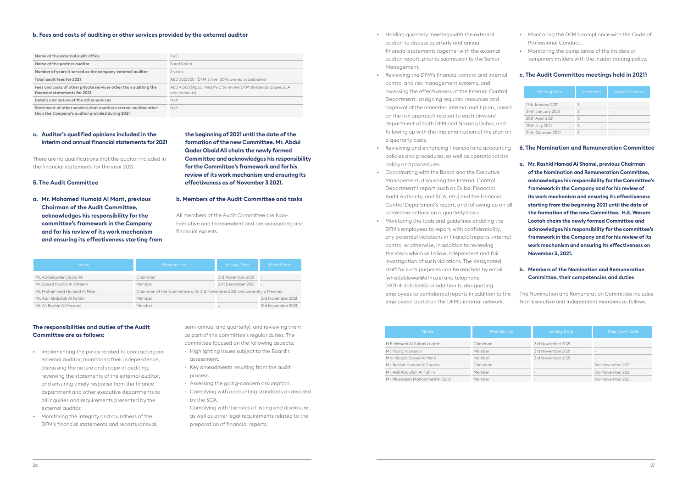#### **b. Fees and costs of auditing or other services provided by the external auditor**

#### **c. Auditor's qualified opinions included in the interim and annual financial statements for 2021**

There are no qualifications that the auditor included in the financial statements for the year 2021.

#### **5. The Audit Committee**

**a. Mr. Mohamed Humaid Al Marri, previous Chairman of the Audit Committee, acknowledges his responsibility for the committee's framework in the Company and for his review of its work mechanism and ensuring its effectiveness starting from** 

**the beginning of 2021 until the date of the formation of the new Committee. Mr. Abdul Qader Obaid Ali chairs the newly formed Committee and acknowledges his responsibility for the Committee's framework and for his review of its work mechanism and ensuring its effectiveness as of November 3 2021.**

#### **b. Members of the Audit Committee and tasks**

All members of the Audit Committee are Non-Executive and Independent and are accounting and financial experts.

#### **The responsibilities and duties of the Audit Committee are as follows:**

- Implementing the policy related to contracting an external auditor; monitoring their independence, discussing the nature and scope of auditing, reviewing the statements of the external auditor, and ensuring timely response from the finance department and other executive departments to all inquiries and requirements presented by the external auditor.
- Monitoring the integrity and soundness of the DFM's financial statements and reports (annual,

semi-annual and quarterly), and reviewing them as part of the committee's regular duties. The committee focused on the following aspects:

- Highlighting issues subject to the Board's assessment.
- Key amendments resulting from the audit process.
- Assessing the going-concern assumption.
- Complying with accounting standards as decided by the SCA.
- Complying with the rules of listing and disclosure, as well as other legal requirements related to the preparation of financial reports.

| <b>Name</b>                  | Membership                                                                | <b>Joining Date</b> | <b>Ended Date</b> |
|------------------------------|---------------------------------------------------------------------------|---------------------|-------------------|
| Mr. Abdulgader Obaid Ali     | Chairman                                                                  | 3rd November 2021   | <b>1999</b>       |
| Mr. Saeed Rashid Al Yateem   | Member                                                                    | 21st December 2021  | $\sim$            |
| Mr. Mohammed Humaid Al Marri | Chairman of the Committee until 3rd November 2021 and currently a Member. |                     |                   |
| Mr. Adil Abdullah Al Fahim   | Member                                                                    |                     | 3rd November 2021 |
| Mr. Ali Rashid Al Mazroei    | Member                                                                    |                     | 3rd November 2021 |

- Holding quarterly meetings with the external auditor to discuss quarterly and annual financial statements together with the external auditor report, prior to submission to the Senior Management.
- Reviewing the DFM's financial control and internal control and risk management systems, and assessing the effectiveness of the Internal Control Department.; assigning required resources and approval of the amended internal audit plan, based on the risk approach related to each division/ department of both DFM and Nasdaq Dubai, and following up with the implementation of the plan on a quarterly basis.
- Reviewing and enhancing financial and accounting policies and procedures, as well as operational risk policy and procedures.
- Coordinating with the Board and the Executive Management, discussing the Internal Control Department's report (such as Dubai Financial Audit Authority, and SCA, etc.) and the Financial Control Department's report, and following up on all corrective actions on a quarterly basis.
- Monitoring the tools and guidelines enabling the DFM's employees to report, with confidentiality, any potential violations in financial reports, internal control or otherwise, in addition to reviewing the steps which will allow independent and fair investigation of such violations. The designated staff for such purposes can be reached by email [\(whistleblower@dfm.ae\)](mailto:whistleblower%40dfm.ae?subject=) and telephone (+971-4-305-5665); in addition to designating employees to confidential reports in addition to the employees' portal on the DFM's internal network.
- Monitoring the DFM's compliance with the Code of Professional Conduct.
- Monitoring the compliance of the insiders or temporary insiders with the insider trading policy.

#### **c. The Audit Committee meetings held in 20211**

#### **6. The Nomination and Remuneration Committee**

**a. Mr. Rashid Hamad Al Shamsi, previous Chairman of the Nomination and Remuneration Committee, acknowledges his responsibility for the Committee's framework in the Company and for his review of its work mechanism and ensuring its effectiveness starting from the beginning 2021 until the date of the formation of the new Committee. H.E. Wesam Lootah chairs the newly formed Committee and acknowledges his responsibility for the committee's framework in the Company and for his review of its work mechanism and ensuring its effectiveness on November 3, 2021.**

#### **b. Members of the Nomination and Remuneration Committee, their competencies and duties**

The Nomination and Remuneration Committee includes Non-Executive and Independent members as follows:

| Meeting date      | <b>Attendees</b> | <b>Absent Members</b> |
|-------------------|------------------|-----------------------|
| 17th January 2021 | 3                | -                     |
| 24th January 2021 | 3                |                       |
| 25th April 2021   | 3                |                       |
| 25th July 2021    | 3                |                       |
| 24th October 2021 | 3                |                       |

| <b>Name</b>                    | <b>Membership</b> | <b>Joining Date</b>      | <b>Step Down Date</b> |
|--------------------------------|-------------------|--------------------------|-----------------------|
| H.E. Wesam Al Abbas Lootah     | Chairman          | 3rd November 2021        |                       |
| Mr. Yuvraj Narayan             | Member            | 3rd November 2021        | ۰                     |
| Mrs. Moaza Saeed Al Marri      | Member            | 3rd November 2021        |                       |
| Mr. Rashid Hamad Al Shamsi     | Chairman          | $\overline{\phantom{a}}$ | 3rd November 2021     |
| Mr. Adil Abdullah Al Fahim     | Member            | $\overline{\phantom{a}}$ | 3rd November 2021     |
| Mr. Mussabeh Mohammed Al Qaizi | Member            |                          | 3rd November 2021     |

| Name of the external audit office                                                                                  | <b>PwC</b>                                                                   |
|--------------------------------------------------------------------------------------------------------------------|------------------------------------------------------------------------------|
| Name of the partner auditor                                                                                        | Saad Kadiri                                                                  |
| Number of years it served as the company external auditor                                                          | 2 years                                                                      |
| Total audit fees for 2021                                                                                          | AED 360,000 (DFM & the 100% owned subsidiaries)                              |
| Fees and costs of other private services other than auditing the<br>financial statements for 2021                  | AED 4,500 (Appointed PwC to review DFM dividends as per SCA<br>requirements) |
| Details and nature of the other services                                                                           | N/A                                                                          |
| Statement of other services that another external auditor other<br>than the Company's auditor provided during 2021 | N/A                                                                          |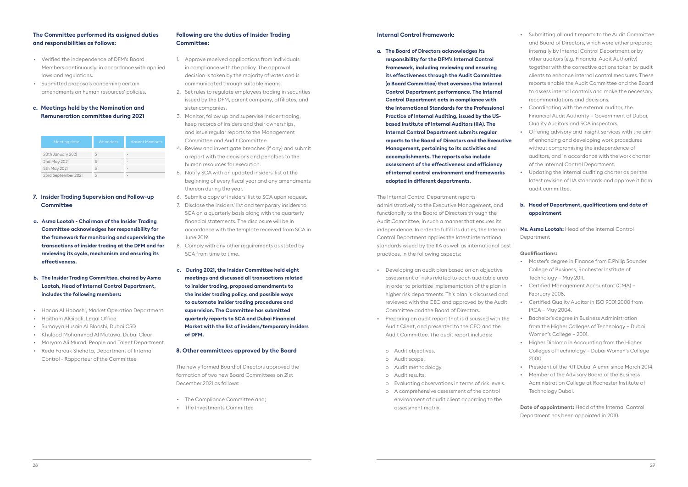#### **The Committee performed its assigned duties and responsibilities as follows:**

- Verified the independence of DFM's Board Members continuously, in accordance with applied laws and regulations.
- Submitted proposals concerning certain amendments on human resources' policies.

#### **c. Meetings held by the Nomination and Remuneration committee during 2021**

#### **7. Insider Trading Supervision and Follow-up Committee**

- **a. Asma Lootah Chairman of the Insider Trading Committee acknowledges her responsibility for the framework for monitoring and supervising the transactions of insider trading at the DFM and for reviewing its cycle, mechanism and ensuring its effectiveness.**
- **b. The Insider Trading Committee, chaired by Asma Lootah, Head of Internal Control Department, includes the following members:**
- Hanan Al Habashi, Market Operation Department
- Haitham AlGibali, Legal Office
- Sumayya Husain Al Blooshi, Dubai CSD
- Khulood Mohammad Al Mutawa, Dubai Clear
- Maryam Ali Murad, People and Talent Department
- Reda Farouk Shehata, Department of Internal Control - Rapporteur of the Committee

#### **Following are the duties of Insider Trading Committee:**

- The Compliance Committee and:
- The Investments Committee
- 1. Approve received applications from individuals in compliance with the policy. The approval decision is taken by the majority of votes and is communicated through suitable means.
- 2. Set rules to regulate employees trading in securities issued by the DFM, parent company, affiliates, and sister companies.
- 3. Monitor, follow up and supervise insider trading, keep records of insiders and their ownerships, and issue regular reports to the Management Committee and Audit Committee.
- 4. Review and investigate breaches (if any) and submit a report with the decisions and penalties to the human resources for execution.
- 5. Notify SCA with an updated insiders' list at the beginning of every fiscal year and any amendments thereon during the year.
- 6. Submit a copy of insiders' list to SCA upon request.
- 7. Disclose the insiders' list and temporary insiders to SCA on a quarterly basis along with the quarterly financial statements. The disclosure will be in accordance with the template received from SCA in June 2019.
- 8. Comply with any other requirements as stated by SCA from time to time.
- **c. During 2021, the Insider Committee held eight meetings and discussed all transactions related to insider trading, proposed amendments to the insider trading policy, and possible ways to automate insider trading procedures and supervision. The Committee has submitted quarterly reports to SCA and Dubai Financial Market with the list of insiders/temporary insiders of DFM.**

#### **8. Other committees approved by the Board**

The newly formed Board of Directors approved the formation of two new Board Committees on 21st December 2021 as follows:

| Meeting date        | <b>Attendees</b> | <b>Absent Members</b>    |
|---------------------|------------------|--------------------------|
| 20th January 2021   | 3                | $\overline{\phantom{a}}$ |
| 2nd May 2021        | 3                |                          |
| 5th May 2021        | 3                | $\overline{\phantom{a}}$ |
| 23rd September 2021 |                  |                          |

#### **Internal Control Framework:**

**a. The Board of Directors acknowledges its responsibility for the DFM's Internal Control Framework, including reviewing and ensuring its effectiveness through the Audit Committee (a Board Committee) that oversees the Internal Control Department performance. The Internal Control Department acts in compliance with the International Standards for the Professional Practice of Internal Auditing, issued by the USbased Institute of Internal Auditors (IIA). The Internal Control Department submits regular reports to the Board of Directors and the Executive Management, pertaining to its activities and accomplishments. The reports also include assessment of the effectiveness and efficiency of internal control environment and frameworks adopted in different departments.** 

The Internal Control Department reports administratively to the Executive Management, and functionally to the Board of Directors through the Audit Committee, in such a manner that ensures its independence. In order to fulfill its duties, the Internal Control Deportment applies the latest international standards issued by the IIA as well as international best practices, in the following aspects:

- Developing an audit plan based on an objective assessment of risks related to each auditable area in order to prioritize implementation of the plan in higher risk departments. This plan is discussed and reviewed with the CEO and approved by the Audit Committee and the Board of Directors.
- Preparing an audit report that is discussed with the Audit Client, and presented to the CEO and the Audit Committee. The audit report includes:
	- o Audit objectives.
	- o Audit scope.
	- o Audit methodology.
	- o Audit results.
	- o Evaluating observations in terms of risk levels.
	- o A comprehensive assessment of the control environment of audit client according to the assessment matrix.
- Submitting all audit reports to the Audit Committee and Board of Directors, which were either prepared internally by Internal Control Deportment or by other auditors (e.g. Financial Audit Authority) together with the corrective actions taken by audit clients to enhance internal control measures. These reports enable the Audit Committee and the Board to assess internal controls and make the necessary recommendations and decisions.
- Coordinating with the external auditor, the Financial Audit Authority – Government of Dubai, Quality Auditors and SCA inspectors.
- Offering advisory and insight services with the aim of enhancing and developing work procedures without compromising the independence of auditors, and in accordance with the work charter of the Internal Control Deportment.
- Updating the internal auditing charter as per the latest revision of IIA standards and approve it from audit committee.

#### **b. Head of Department, qualifications and date of appointment**

**Ms. Asma Lootah:** Head of the Internal Control Department

#### **Qualifications:**

- Master's degree in Finance from E.Philip Saunder College of Business, Rochester Institute of Technology – May 2011.
- Certified Management Accountant (CMA) February 2008.
- Certified Quality Auditor in ISO 9001:2000 from IRCA – May 2004.
- Bachelor's degree in Business Administration from the Higher Colleges of Technology – Dubai Women's College – 2001.
- Higher Diploma in Accounting from the Higher Colleges of Technology – Dubai Women's College 2000.
- President of the RIT Dubai Alumni since March 2014.
- Member of the Advisory Board of the Business Administration College at Rochester Institute of Technology Dubai.

**Date of appointment:** Head of the Internal Control Department has been appointed in 2010.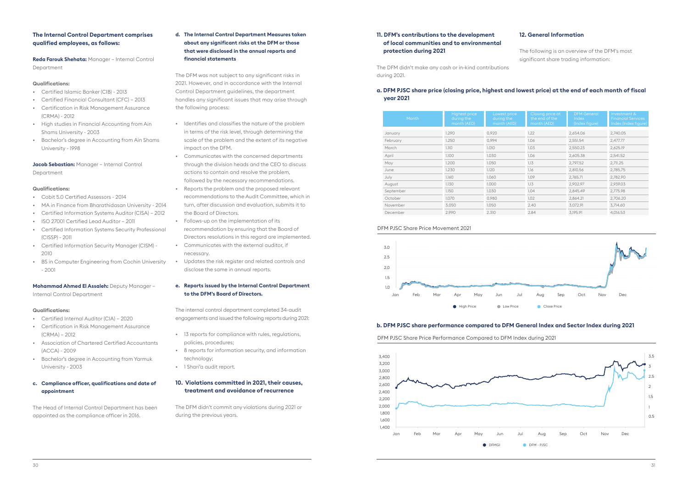#### **The Internal Control Department comprises qualified employees, as follows:**

**Reda Farouk Shehata:** Manager – Internal Control Department

#### **Qualifications:**

- Certified Islamic Banker (CIB) 2013
- Certified Financial Consultant (CFC) 2013
- Certification in Risk Management Assurance (CRMA) - 2012
- High studies in Financial Accounting from Ain Shams University - 2003
- Bachelor's degree in Accounting from Ain Shams University - 1998

**Jacob Sebastian:** Manager – Internal Control Department

#### **Qualifications:**

- Cobit 5.0 Certified Assessors 2014
- MA in Finance from Bharathidasan University 2014
- Certified Information Systems Auditor (CISA) 2012
- ISO 27001 Certified Lead Auditor 2011
- Certified Information Systems Security Professional (CISSP) - 2011
- Certified Information Security Manager (CISM) 2010
- BS in Computer Engineering from Cochin University - 2001

#### **Mohammad Ahmed El Assaleh:** Deputy Manager – Internal Control Department

#### **Qualifications:**

- Certified Internal Auditor (CIA) 2020
- Certification in Risk Management Assurance (CRMA) – 2012
- Association of Chartered Certified Accountants (ACCA) - 2009
- Bachelor's degree in Accounting from Yarmuk University - 2003
- **c. Compliance officer, qualifications and date of appointment**

The Head of Internal Control Department has been appointed as the compliance officer in 2016.

**d. The Internal Control Department Measures taken about any significant risks at the DFM or those that were disclosed in the annual reports and financial statements**

The DFM was not subject to any significant risks in 2021. However, and in accordance with the Internal Control Department guidelines, the department handles any significant issues that may arise through the following process:

- Identifies and classifies the nature of the problem in terms of the risk level, through determining the scale of the problem and the extent of its negative impact on the DFM.
- Communicates with the concerned departments through the division heads and the CEO to discuss actions to contain and resolve the problem, followed by the necessary recommendations.
- Reports the problem and the proposed relevant recommendations to the Audit Committee, which in turn, after discussion and evaluation, submits it to the Board of Directors.
- Follows-up on the implementation of its recommendation by ensuring that the Board of Directors resolutions in this regard are implemented.
- Communicates with the external auditor, if necessary.
- Updates the risk register and related controls and disclose the same in annual reports.

#### **e. Reports issued by the Internal Control Department to the DFM's Board of Directors.**

The internal control department completed 34-audit engagements and issued the following reports during 2021:

- 13 reports for compliance with rules, regulations, policies, procedures;
- 8 reports for information security, and information technology;
- 1 Shari'a audit report.

#### **10. Violations committed in 2021, their causes, treatment and avoidance of recurrence**

The DFM didn't commit any violations during 2021 or during the previous years.

**11. DFM's contributions to the development of local communities and to environmental protection during 2021**

The DFM didn't make any cash or in-kind contributions during 2021.

#### **12. General Information**

The following is an overview of the DFM's most significant share trading information:

#### **a. DFM PJSC share price (closing price, highest and lowest price) at the end of each month of fiscal year 2021**

#### **b. DFM PJSC share performance compared to DFM General Index and Sector Index during 2021**

| Month     | <b>Highest price</b><br>during the<br>month (AED) | Lowest price<br>during the<br>month (AED) | Closing price at<br>the end of the<br>month (AED) | <b>DFM</b> General<br>Index<br>(Index figure) | Investm<br>Financio<br>Index (In |
|-----------|---------------------------------------------------|-------------------------------------------|---------------------------------------------------|-----------------------------------------------|----------------------------------|
| January   | 1.290                                             | 0.920                                     | 1.22                                              | 2,654.06                                      | 2,740.05                         |
| February  | 1.250                                             | 0.994                                     | 1.06                                              | 2,551.54                                      | 2,477.77                         |
| March     | 1.110                                             | 1.010                                     | 1.03                                              | 2,550.23                                      | 2,625.19                         |
| April     | 1.100                                             | 1.030                                     | 1.06                                              | 2,605.38                                      | 2,541.52                         |
| May       | 1.200                                             | 1.050                                     | 1.13                                              | 2,797.52                                      | 2,711.25                         |
| June      | 1.230                                             | 1.120                                     | 1.16                                              | 2,810.56                                      | 2,785.75                         |
| July      | 1.160                                             | 1.060                                     | 1.09                                              | 2,765.71                                      | 2,782.90                         |
| August    | 1.130                                             | 1.000                                     | 1.13                                              | 2,902.97                                      | 2,939.03                         |
| September | 1.150                                             | 1.030                                     | 1.04                                              | 2,845.49                                      | 2,775.98                         |
| October   | 1.070                                             | 0.980                                     | 1.02                                              | 2,864.21                                      | 2,706.20                         |
| November  | 3.050                                             | 1.050                                     | 2.40                                              | 3,072.91                                      | 3,714.60                         |
| December  | 2.990                                             | 2.310                                     | 2.84                                              | 3,195.91                                      | 4,016.53                         |

# DFM General



DFM PJSC Share Price Performance Compared to DFM Index during 2021



#### DFM PJSC Share Price Movement 2021

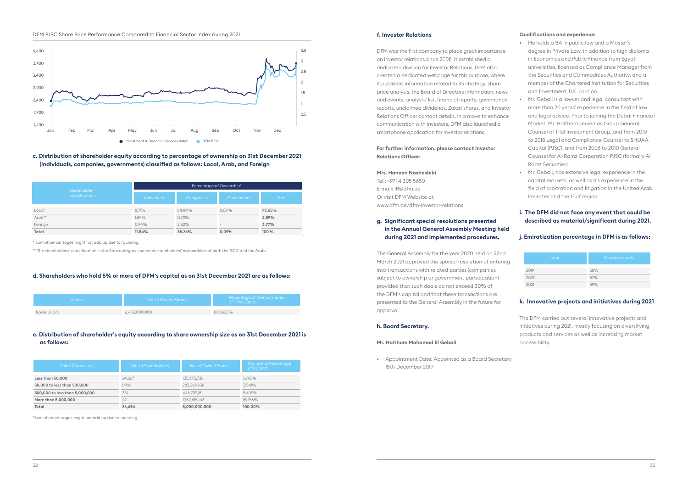#### DFM PJSC Share Price Performance Compared to Financial Sector Index during 2021

**c. Distribution of shareholder equity according to percentage of ownership on 31st December 2021 (individuals, companies, governments) classified as follows: Local, Arab, and Foreign**

#### **d. Shareholders who hold 5% or more of DFM's capital as on 31st December 2021 are as follows:**

#### **e. Distribution of shareholder's equity according to share ownership size as on 31st December 2021 is as follows:**

\* Sum of percentages might not add up due to rounding.

\*\* The shareholders' classification in the Arab category combines shareholders' nationalities of both the GCC and the Arabs.

\*Sum of percentages might not add up due to rounding.

| Shareholder    | Percentage of Ownership* |           |                          |              |
|----------------|--------------------------|-----------|--------------------------|--------------|
| classification | <b>Individuals</b>       | Companies | Government               | <b>Total</b> |
| Local          | 8.71%                    | 84.84%    | $0.09\%$                 | 93.65%       |
| Arab**         | 1.89%                    | 0.70%     | $\overline{\phantom{a}}$ | 2.59%        |
| Foreign        | 0.94%                    | 2.82%     | $\overline{\phantom{a}}$ | 3.77%        |
| Total          | 11.54%                   | 88.36%    | 0.09%                    | 100 %        |

| Name:       | No. of Owned Shares 1 | Percentage of Owned Shares<br>of DFM Capital |
|-------------|-----------------------|----------------------------------------------|
|             |                       |                                              |
| Borse Dubai | 6,453,000,000         | 80.6625%                                     |

| <b>Share Ownership</b>         | No. of Shareholders | No. of Owned Shares | <b>Ownership Percentage</b><br>of Capital* |
|--------------------------------|---------------------|---------------------|--------------------------------------------|
|                                |                     |                     |                                            |
| Less than 50,000               | 24.267              | 135,375,738         | 1.692%                                     |
| 50,000 to less than 500,000    | 1.989               | 283.269.938         | 3.541%                                     |
| 500,000 to less than 5,000,000 | 351                 | 448.739.181         | 5.609%                                     |
| More than 5,000,000            | 47                  | 7,132,615,143       | 89.158%                                    |
| Total                          | 26,654              | 8,000,000,000       | 100.00%                                    |



#### **f. Investor Relations**

DFM was the first company to place great importance on investor relations since 2008. It established a dedicated division for Investor Relations, DFM also created a dedicated webpage for this purpose, where it publishes information related to its strategy, share price analysis, the Board of Directors information, news and events, analysts' list, financial reports, governance reports, unclaimed dividends, Zakat shares, and Investor Relations Officer contact details. In a move to enhance communication with investors, DFM also launched a smartphone application for investor relations.

#### **For further information, please contact Investor Relations Officer:**

#### **Mrs. Haneen Nashashibi**

Tel.: +971 4 305 5650 E-mail: [IR@dfm.ae](mailto:IR%40dfm.ae?subject=) Or visit DFM Website at [www.dfm.ae/dfm-investor-relations](http://www.dfm.ae/dfm-investor-relations)

#### **g. Significant special resolutions presented in the Annual General Assembly Meeting held during 2021 and implemented procedures.**

The General Assembly for the year 2020 held on 22nd March 2021 approved the special resolution of entering into transactions with related parties (companies subject to ownership or government participation) provided that such deals do not exceed 30% of the DFM's capital and that these transactions are presented to the General Assembly in the future for approval.

#### **h. Board Secretary.**

#### **Mr. Haitham Mohamed El Gebali**

• Appointment Date: Appointed as a Board Secretary 15th December 2019

#### **Qualifications and experience:**

- He holds a BA in public law and a Master's degree in Private Law, in addition to high diploma in Economics and Public Finance from Egypt universities, licensed as Compliance Manager from the Securities and Commodities Authority, and a member of the Chartered Institution for Securities and Investment, UK. London.
- Mr. Gebali is a lawyer and legal consultant with more than 20 years' experience in the field of law and legal advice. Prior to joining the Dubai Financial Market, Mr. Haitham served as Group General Counsel of Tilal Investment Group, and from 2010 to 2018 Legal and Compliance Counsel to SHUAA Capital (PJSC), and from 2006 to 2010 General Counsel for Al-Ramz Corporation PJSC (formally Al Ramz Securities).
- Mr. Gebali, has extensive legal experience in the capital markets, as well as his experience in the field of arbitration and litigation in the United Arab Emirates and the Gulf region.

#### **i. The DFM did not face any event that could be described as material/significant during 2021.**

#### **j. Emiratization percentage in DFM is as follows:**

#### **k. Innovative projects and initiatives during 2021**

The DFM carried out several innovative projects and initiatives during 2021, mostly focusing on diversifying products and services as well as increasing market accessibility.

### 2019 58% 2020 57%

2021 59%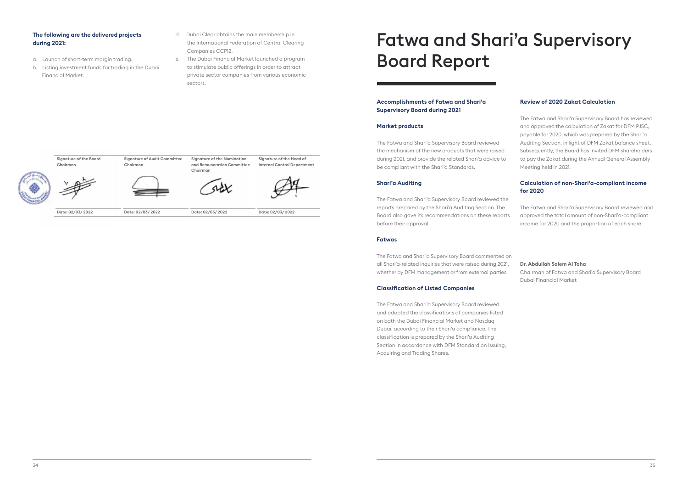#### **The following are the delivered projects during 2021:**

- a. Launch of short-term margin trading.
- b. Listing investment funds for trading in the Dubai Financial Market.
- d. Dubai Clear obtains the main membership in the International Federation of Central Clearing Companies CCP12.
- e. The Dubai Financial Market launched a program to stimulate public offerings in order to attract private sector companies from various economic sectors.

# Fatwa and Shari'a Supervisory Board Report

#### **Accomplishments of Fatwa and Shari'a Supervisory Board during 2021**

#### **Market products**

The Fatwa and Shari'a Supervisory Board reviewed the mechanism of the new products that were raised during 2021, and provide the related Shari'a advice to be compliant with the Shari'a Standards.

#### **Shari'a Auditing**

The Fatwa and Shari'a Supervisory Board reviewed the reports prepared by the Shari'a Auditing Section. The Board also gave its recommendations on these reports before their approval.

#### **Fatwas**

The Fatwa and Shari'a Supervisory Board commented on all Shari'a-related inquiries that were raised during 2021, whether by DFM management or from external parties.

#### **Classification of Listed Companies**

The Fatwa and Shari'a Supervisory Board reviewed and adopted the classifications of companies listed on both the Dubai Financial Market and Nasdaq Dubai, according to their Shari'a compliance. The classification is prepared by the Shari'a Auditing Section in accordance with DFM Standard on Issuing, Acquiring and Trading Shares.

#### **Review of 2020 Zakat Calculation**

The Fatwa and Shari'a Supervisory Board has reviewed and approved the calculation of Zakat for DFM PJSC, payable for 2020, which was prepared by the Shari'a Auditing Section, in light of DFM Zakat balance sheet. Subsequently, the Board has invited DFM shareholders to pay the Zakat during the Annual General Assembly Meeting held in 2021.

#### **Calculation of non-Shari'a-compliant income for 2020**

The Fatwa and Shari'a Supervisory Board reviewed and approved the total amount of non-Shari'a-compliant income for 2020 and the proportion of each share.

**Dr. Abdullah Salem Al Taha** Chairman of Fatwa and Shari'a Supervisory Board Dubai Financial Market

**Signature of the Board** 

**Chairman**

**Signature of Audit Committee** 

**Chairman**

**Signature of the Nomination and Remuneration Committee** 

**Chairman**

**Signature of the Head of Internal Control Department**

**Date: 02/03/ 2022 Date: 02/03/ 2022 Date: 02/03/ 2022 Date: 02/03/ 2022**